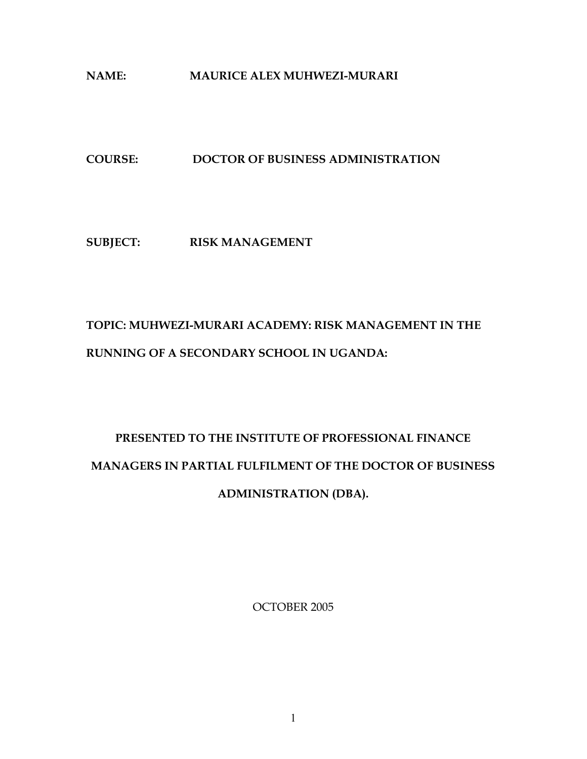## NAME: MAURICE ALEX MUHWEZI-MURARI

## COURSE: DOCTOR OF BUSINESS ADMINISTRATION

## SUBJECT: RISK MANAGEMENT

## TOPIC: MUHWEZI-MURARI ACADEMY: RISK MANAGEMENT IN THE RUNNING OF A SECONDARY SCHOOL IN UGANDA:

# PRESENTED TO THE INSTITUTE OF PROFESSIONAL FINANCE MANAGERS IN PARTIAL FULFILMENT OF THE DOCTOR OF BUSINESS ADMINISTRATION (DBA).

OCTOBER 2005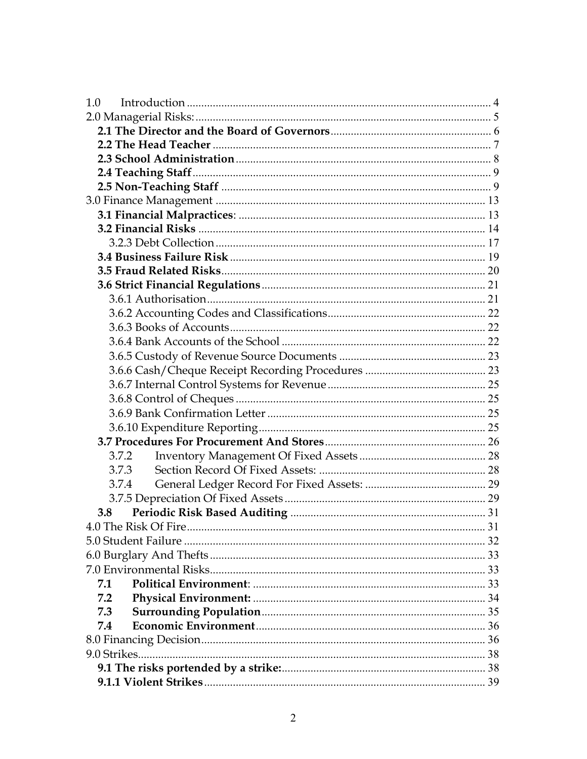| 1.0   |  |
|-------|--|
|       |  |
|       |  |
|       |  |
|       |  |
|       |  |
|       |  |
|       |  |
|       |  |
|       |  |
|       |  |
|       |  |
|       |  |
|       |  |
|       |  |
|       |  |
|       |  |
|       |  |
|       |  |
|       |  |
|       |  |
|       |  |
|       |  |
|       |  |
|       |  |
| 3.7.2 |  |
| 3.7.3 |  |
| 3.7.4 |  |
|       |  |
| 3.8   |  |
|       |  |
|       |  |
|       |  |
|       |  |
| 7.1   |  |
| 7.2   |  |
| 7.3   |  |
| 7.4   |  |
|       |  |
|       |  |
|       |  |
|       |  |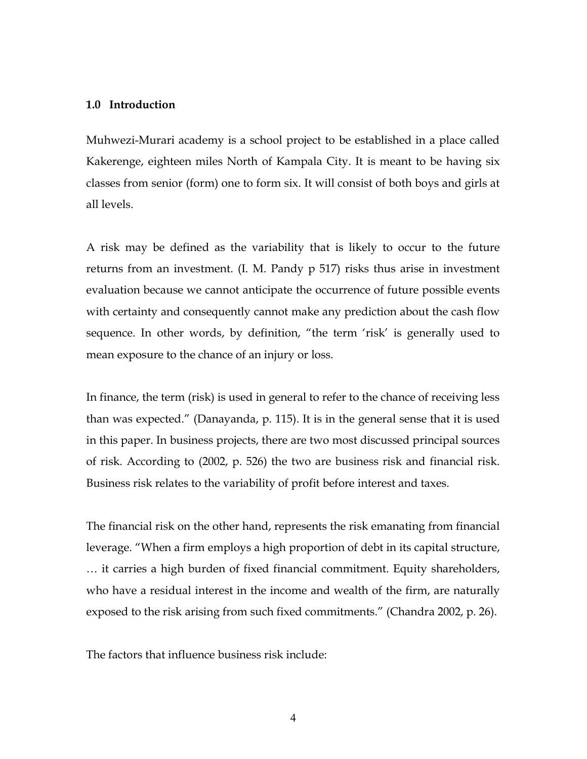## 1.0 Introduction

Muhwezi-Murari academy is a school project to be established in a place called Kakerenge, eighteen miles North of Kampala City. It is meant to be having six classes from senior (form) one to form six. It will consist of both boys and girls at all levels.

A risk may be defined as the variability that is likely to occur to the future returns from an investment. (I. M. Pandy p 517) risks thus arise in investment evaluation because we cannot anticipate the occurrence of future possible events with certainty and consequently cannot make any prediction about the cash flow sequence. In other words, by definition, "the term 'risk' is generally used to mean exposure to the chance of an injury or loss.

In finance, the term (risk) is used in general to refer to the chance of receiving less than was expected." (Danayanda, p. 115). It is in the general sense that it is used in this paper. In business projects, there are two most discussed principal sources of risk. According to (2002, p. 526) the two are business risk and financial risk. Business risk relates to the variability of profit before interest and taxes.

The financial risk on the other hand, represents the risk emanating from financial leverage. "When a firm employs a high proportion of debt in its capital structure, … it carries a high burden of fixed financial commitment. Equity shareholders, who have a residual interest in the income and wealth of the firm, are naturally exposed to the risk arising from such fixed commitments." (Chandra 2002, p. 26).

The factors that influence business risk include: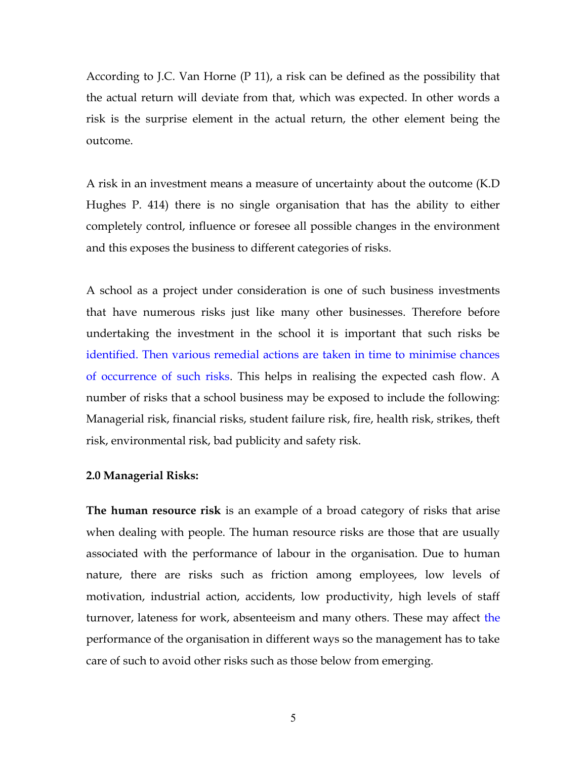According to J.C. Van Horne (P 11), a risk can be defined as the possibility that the actual return will deviate from that, which was expected. In other words a risk is the surprise element in the actual return, the other element being the outcome.

A risk in an investment means a measure of uncertainty about the outcome (K.D Hughes P. 414) there is no single organisation that has the ability to either completely control, influence or foresee all possible changes in the environment and this exposes the business to different categories of risks.

A school as a project under consideration is one of such business investments that have numerous risks just like many other businesses. Therefore before undertaking the investment in the school it is important that such risks be identified. Then various remedial actions are taken in time to minimise chances of occurrence of such risks. This helps in realising the expected cash flow. A number of risks that a school business may be exposed to include the following: Managerial risk, financial risks, student failure risk, fire, health risk, strikes, theft risk, environmental risk, bad publicity and safety risk.

## 2.0 Managerial Risks:

The human resource risk is an example of a broad category of risks that arise when dealing with people. The human resource risks are those that are usually associated with the performance of labour in the organisation. Due to human nature, there are risks such as friction among employees, low levels of motivation, industrial action, accidents, low productivity, high levels of staff turnover, lateness for work, absenteeism and many others. These may affect the performance of the organisation in different ways so the management has to take care of such to avoid other risks such as those below from emerging.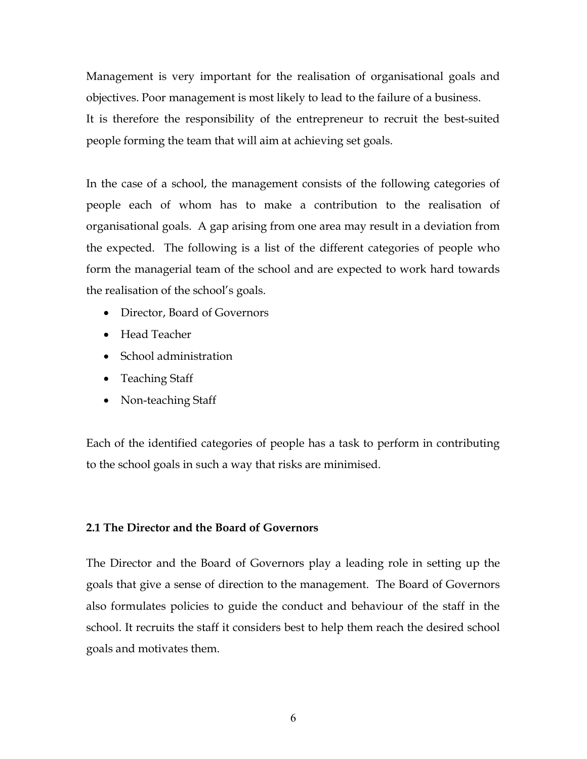Management is very important for the realisation of organisational goals and objectives. Poor management is most likely to lead to the failure of a business. It is therefore the responsibility of the entrepreneur to recruit the best-suited people forming the team that will aim at achieving set goals.

In the case of a school, the management consists of the following categories of people each of whom has to make a contribution to the realisation of organisational goals. A gap arising from one area may result in a deviation from the expected. The following is a list of the different categories of people who form the managerial team of the school and are expected to work hard towards the realisation of the school's goals.

- Director, Board of Governors
- Head Teacher
- School administration
- Teaching Staff
- Non-teaching Staff

Each of the identified categories of people has a task to perform in contributing to the school goals in such a way that risks are minimised.

## 2.1 The Director and the Board of Governors

The Director and the Board of Governors play a leading role in setting up the goals that give a sense of direction to the management. The Board of Governors also formulates policies to guide the conduct and behaviour of the staff in the school. It recruits the staff it considers best to help them reach the desired school goals and motivates them.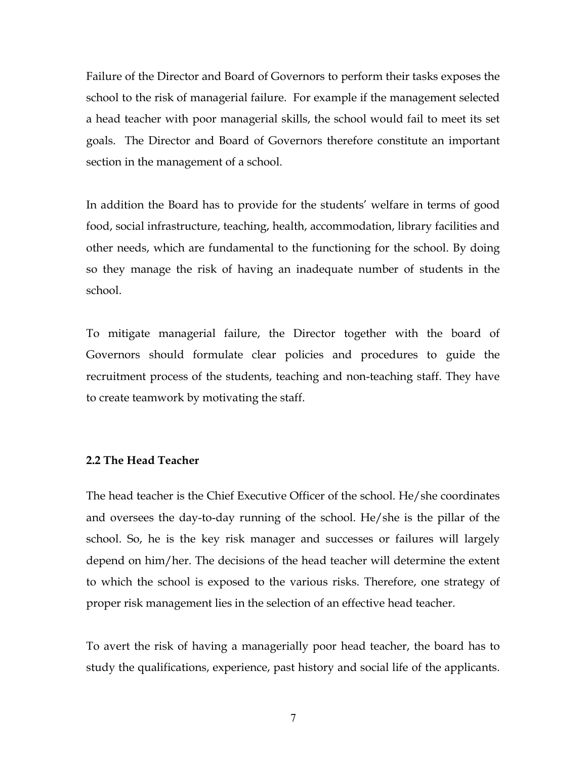Failure of the Director and Board of Governors to perform their tasks exposes the school to the risk of managerial failure. For example if the management selected a head teacher with poor managerial skills, the school would fail to meet its set goals. The Director and Board of Governors therefore constitute an important section in the management of a school.

In addition the Board has to provide for the students' welfare in terms of good food, social infrastructure, teaching, health, accommodation, library facilities and other needs, which are fundamental to the functioning for the school. By doing so they manage the risk of having an inadequate number of students in the school.

To mitigate managerial failure, the Director together with the board of Governors should formulate clear policies and procedures to guide the recruitment process of the students, teaching and non-teaching staff. They have to create teamwork by motivating the staff.

## 2.2 The Head Teacher

The head teacher is the Chief Executive Officer of the school. He/she coordinates and oversees the day-to-day running of the school. He/she is the pillar of the school. So, he is the key risk manager and successes or failures will largely depend on him/her. The decisions of the head teacher will determine the extent to which the school is exposed to the various risks. Therefore, one strategy of proper risk management lies in the selection of an effective head teacher.

To avert the risk of having a managerially poor head teacher, the board has to study the qualifications, experience, past history and social life of the applicants.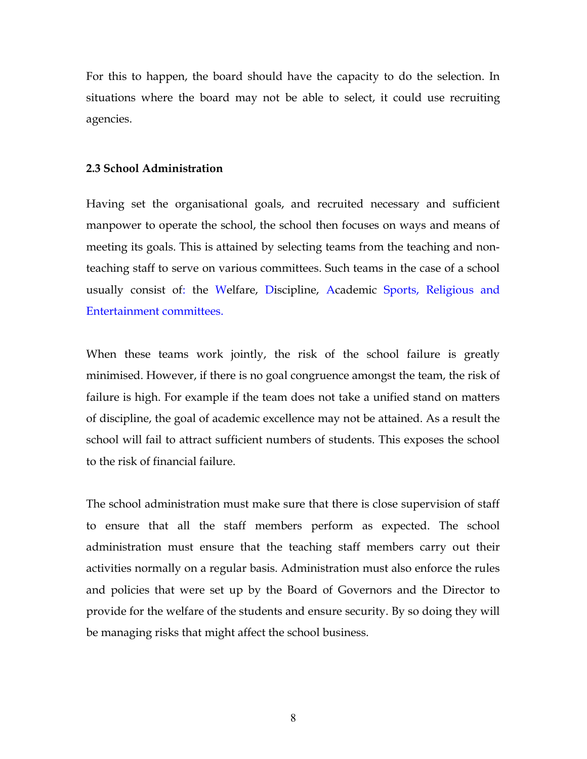For this to happen, the board should have the capacity to do the selection. In situations where the board may not be able to select, it could use recruiting agencies.

## 2.3 School Administration

Having set the organisational goals, and recruited necessary and sufficient manpower to operate the school, the school then focuses on ways and means of meeting its goals. This is attained by selecting teams from the teaching and nonteaching staff to serve on various committees. Such teams in the case of a school usually consist of: the Welfare, Discipline, Academic Sports, Religious and Entertainment committees.

When these teams work jointly, the risk of the school failure is greatly minimised. However, if there is no goal congruence amongst the team, the risk of failure is high. For example if the team does not take a unified stand on matters of discipline, the goal of academic excellence may not be attained. As a result the school will fail to attract sufficient numbers of students. This exposes the school to the risk of financial failure.

The school administration must make sure that there is close supervision of staff to ensure that all the staff members perform as expected. The school administration must ensure that the teaching staff members carry out their activities normally on a regular basis. Administration must also enforce the rules and policies that were set up by the Board of Governors and the Director to provide for the welfare of the students and ensure security. By so doing they will be managing risks that might affect the school business.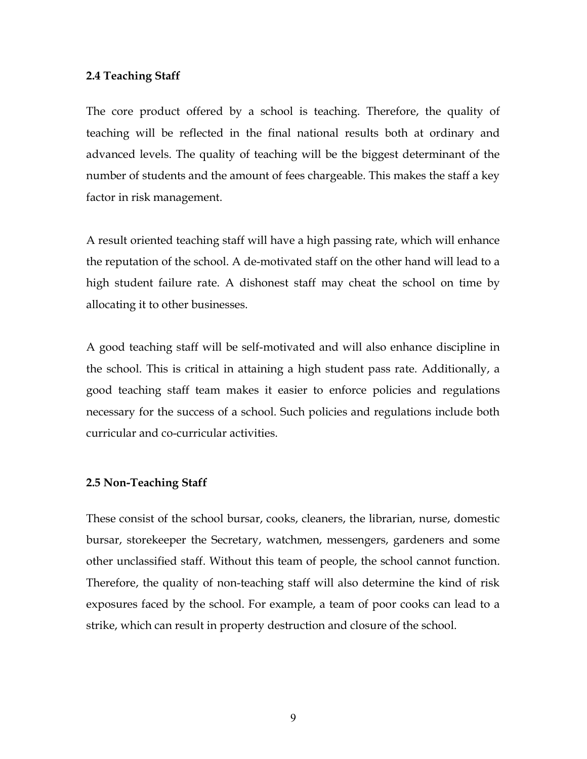## 2.4 Teaching Staff

The core product offered by a school is teaching. Therefore, the quality of teaching will be reflected in the final national results both at ordinary and advanced levels. The quality of teaching will be the biggest determinant of the number of students and the amount of fees chargeable. This makes the staff a key factor in risk management.

A result oriented teaching staff will have a high passing rate, which will enhance the reputation of the school. A de-motivated staff on the other hand will lead to a high student failure rate. A dishonest staff may cheat the school on time by allocating it to other businesses.

A good teaching staff will be self-motivated and will also enhance discipline in the school. This is critical in attaining a high student pass rate. Additionally, a good teaching staff team makes it easier to enforce policies and regulations necessary for the success of a school. Such policies and regulations include both curricular and co-curricular activities.

## 2.5 Non-Teaching Staff

These consist of the school bursar, cooks, cleaners, the librarian, nurse, domestic bursar, storekeeper the Secretary, watchmen, messengers, gardeners and some other unclassified staff. Without this team of people, the school cannot function. Therefore, the quality of non-teaching staff will also determine the kind of risk exposures faced by the school. For example, a team of poor cooks can lead to a strike, which can result in property destruction and closure of the school.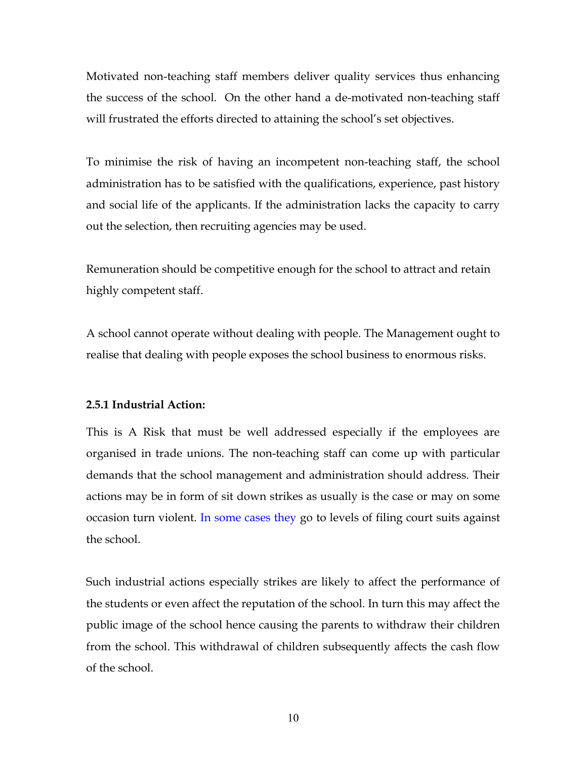Motivated non-teaching staff members deliver quality services thus enhancing the success of the school. On the other hand a de-motivated non-teaching staff will frustrated the efforts directed to attaining the school's set objectives.

To minimise the risk of having an incompetent non-teaching staff, the school administration has to be satisfied with the qualifications, experience, past history and social life of the applicants. If the administration lacks the capacity to carry out the selection, then recruiting agencies may be used.

Remuneration should be competitive enough for the school to attract and retain highly competent staff.

A school cannot operate without dealing with people. The Management ought to realise that dealing with people exposes the school business to enormous risks.

## 2.5.1 Industrial Action:

This is A Risk that must be well addressed especially if the employees are organised in trade unions. The non-teaching staff can come up with particular demands that the school management and administration should address. Their actions may be in form of sit down strikes as usually is the case or may on some occasion turn violent. In some cases they go to levels of filing court suits against the school.

Such industrial actions especially strikes are likely to affect the performance of the students or even affect the reputation of the school. In turn this may affect the public image of the school hence causing the parents to withdraw their children from the school. This withdrawal of children subsequently affects the cash flow of the school.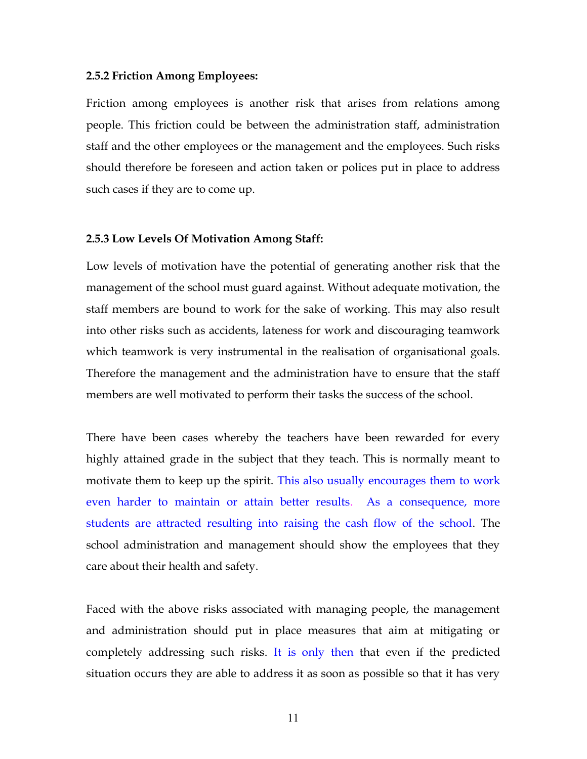#### 2.5.2 Friction Among Employees:

Friction among employees is another risk that arises from relations among people. This friction could be between the administration staff, administration staff and the other employees or the management and the employees. Such risks should therefore be foreseen and action taken or polices put in place to address such cases if they are to come up.

## 2.5.3 Low Levels Of Motivation Among Staff:

Low levels of motivation have the potential of generating another risk that the management of the school must guard against. Without adequate motivation, the staff members are bound to work for the sake of working. This may also result into other risks such as accidents, lateness for work and discouraging teamwork which teamwork is very instrumental in the realisation of organisational goals. Therefore the management and the administration have to ensure that the staff members are well motivated to perform their tasks the success of the school.

There have been cases whereby the teachers have been rewarded for every highly attained grade in the subject that they teach. This is normally meant to motivate them to keep up the spirit. This also usually encourages them to work even harder to maintain or attain better results. As a consequence, more students are attracted resulting into raising the cash flow of the school. The school administration and management should show the employees that they care about their health and safety.

Faced with the above risks associated with managing people, the management and administration should put in place measures that aim at mitigating or completely addressing such risks. It is only then that even if the predicted situation occurs they are able to address it as soon as possible so that it has very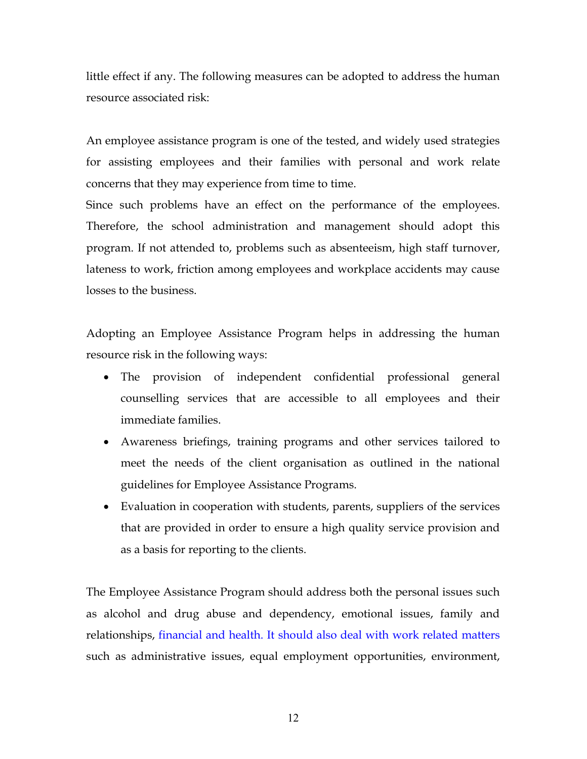little effect if any. The following measures can be adopted to address the human resource associated risk:

An employee assistance program is one of the tested, and widely used strategies for assisting employees and their families with personal and work relate concerns that they may experience from time to time.

Since such problems have an effect on the performance of the employees. Therefore, the school administration and management should adopt this program. If not attended to, problems such as absenteeism, high staff turnover, lateness to work, friction among employees and workplace accidents may cause losses to the business.

Adopting an Employee Assistance Program helps in addressing the human resource risk in the following ways:

- The provision of independent confidential professional general counselling services that are accessible to all employees and their immediate families.
- Awareness briefings, training programs and other services tailored to meet the needs of the client organisation as outlined in the national guidelines for Employee Assistance Programs.
- Evaluation in cooperation with students, parents, suppliers of the services that are provided in order to ensure a high quality service provision and as a basis for reporting to the clients.

The Employee Assistance Program should address both the personal issues such as alcohol and drug abuse and dependency, emotional issues, family and relationships, financial and health. It should also deal with work related matters such as administrative issues, equal employment opportunities, environment,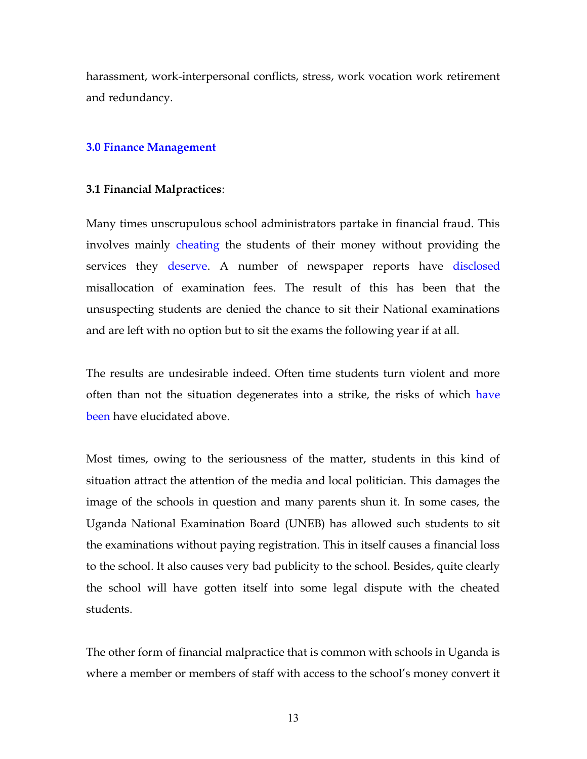harassment, work-interpersonal conflicts, stress, work vocation work retirement and redundancy.

## 3.0 Finance Management

#### 3.1 Financial Malpractices:

Many times unscrupulous school administrators partake in financial fraud. This involves mainly cheating the students of their money without providing the services they deserve. A number of newspaper reports have disclosed misallocation of examination fees. The result of this has been that the unsuspecting students are denied the chance to sit their National examinations and are left with no option but to sit the exams the following year if at all.

The results are undesirable indeed. Often time students turn violent and more often than not the situation degenerates into a strike, the risks of which have been have elucidated above.

Most times, owing to the seriousness of the matter, students in this kind of situation attract the attention of the media and local politician. This damages the image of the schools in question and many parents shun it. In some cases, the Uganda National Examination Board (UNEB) has allowed such students to sit the examinations without paying registration. This in itself causes a financial loss to the school. It also causes very bad publicity to the school. Besides, quite clearly the school will have gotten itself into some legal dispute with the cheated students.

The other form of financial malpractice that is common with schools in Uganda is where a member or members of staff with access to the school's money convert it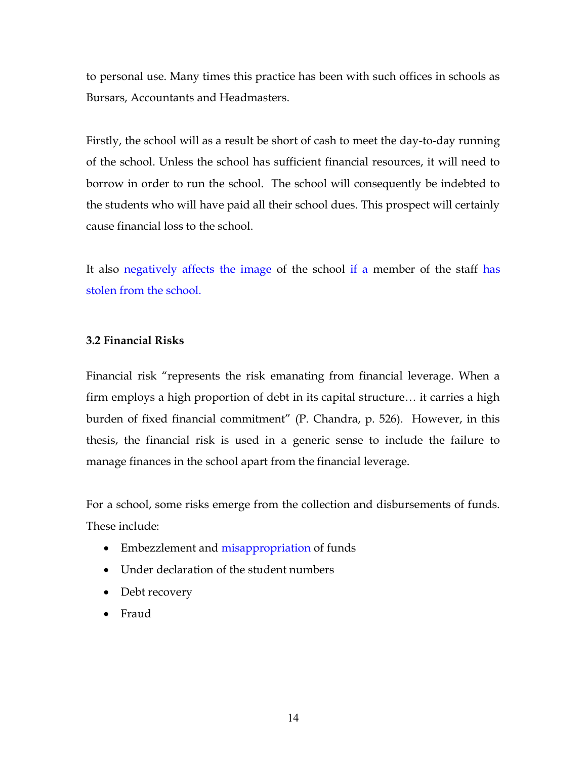to personal use. Many times this practice has been with such offices in schools as Bursars, Accountants and Headmasters.

Firstly, the school will as a result be short of cash to meet the day-to-day running of the school. Unless the school has sufficient financial resources, it will need to borrow in order to run the school. The school will consequently be indebted to the students who will have paid all their school dues. This prospect will certainly cause financial loss to the school.

It also negatively affects the image of the school if a member of the staff has stolen from the school.

## 3.2 Financial Risks

Financial risk "represents the risk emanating from financial leverage. When a firm employs a high proportion of debt in its capital structure… it carries a high burden of fixed financial commitment" (P. Chandra, p. 526). However, in this thesis, the financial risk is used in a generic sense to include the failure to manage finances in the school apart from the financial leverage.

For a school, some risks emerge from the collection and disbursements of funds. These include:

- Embezzlement and misappropriation of funds
- Under declaration of the student numbers
- Debt recovery
- Fraud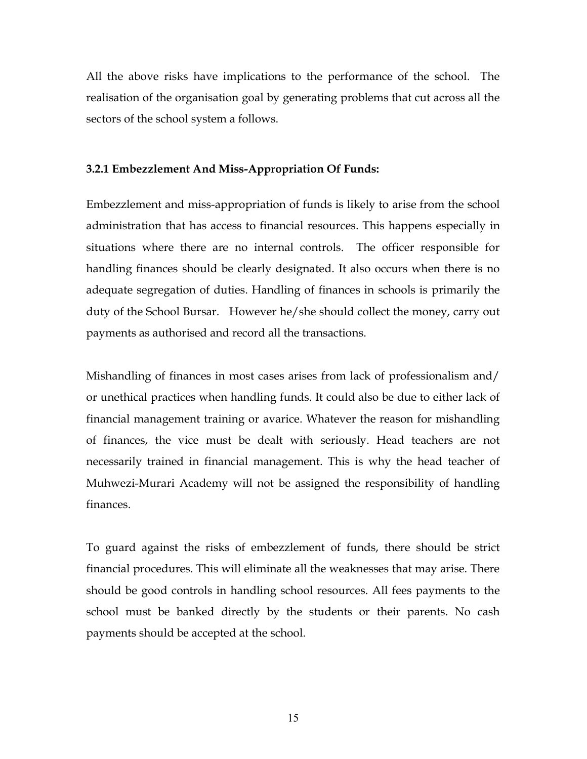All the above risks have implications to the performance of the school. The realisation of the organisation goal by generating problems that cut across all the sectors of the school system a follows.

## 3.2.1 Embezzlement And Miss-Appropriation Of Funds:

Embezzlement and miss-appropriation of funds is likely to arise from the school administration that has access to financial resources. This happens especially in situations where there are no internal controls. The officer responsible for handling finances should be clearly designated. It also occurs when there is no adequate segregation of duties. Handling of finances in schools is primarily the duty of the School Bursar. However he/she should collect the money, carry out payments as authorised and record all the transactions.

Mishandling of finances in most cases arises from lack of professionalism and/ or unethical practices when handling funds. It could also be due to either lack of financial management training or avarice. Whatever the reason for mishandling of finances, the vice must be dealt with seriously. Head teachers are not necessarily trained in financial management. This is why the head teacher of Muhwezi-Murari Academy will not be assigned the responsibility of handling finances.

To guard against the risks of embezzlement of funds, there should be strict financial procedures. This will eliminate all the weaknesses that may arise. There should be good controls in handling school resources. All fees payments to the school must be banked directly by the students or their parents. No cash payments should be accepted at the school.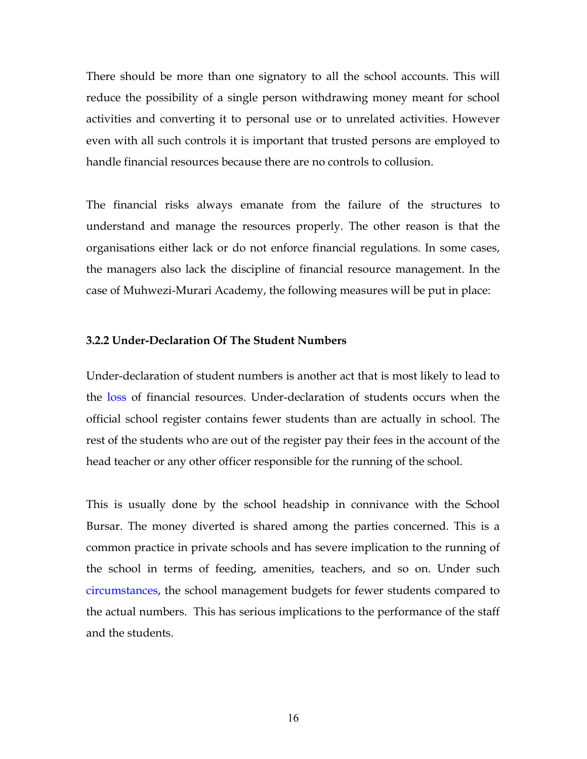There should be more than one signatory to all the school accounts. This will reduce the possibility of a single person withdrawing money meant for school activities and converting it to personal use or to unrelated activities. However even with all such controls it is important that trusted persons are employed to handle financial resources because there are no controls to collusion.

The financial risks always emanate from the failure of the structures to understand and manage the resources properly. The other reason is that the organisations either lack or do not enforce financial regulations. In some cases, the managers also lack the discipline of financial resource management. In the case of Muhwezi-Murari Academy, the following measures will be put in place:

#### 3.2.2 Under-Declaration Of The Student Numbers

Under-declaration of student numbers is another act that is most likely to lead to the loss of financial resources. Under-declaration of students occurs when the official school register contains fewer students than are actually in school. The rest of the students who are out of the register pay their fees in the account of the head teacher or any other officer responsible for the running of the school.

This is usually done by the school headship in connivance with the School Bursar. The money diverted is shared among the parties concerned. This is a common practice in private schools and has severe implication to the running of the school in terms of feeding, amenities, teachers, and so on. Under such circumstances, the school management budgets for fewer students compared to the actual numbers. This has serious implications to the performance of the staff and the students.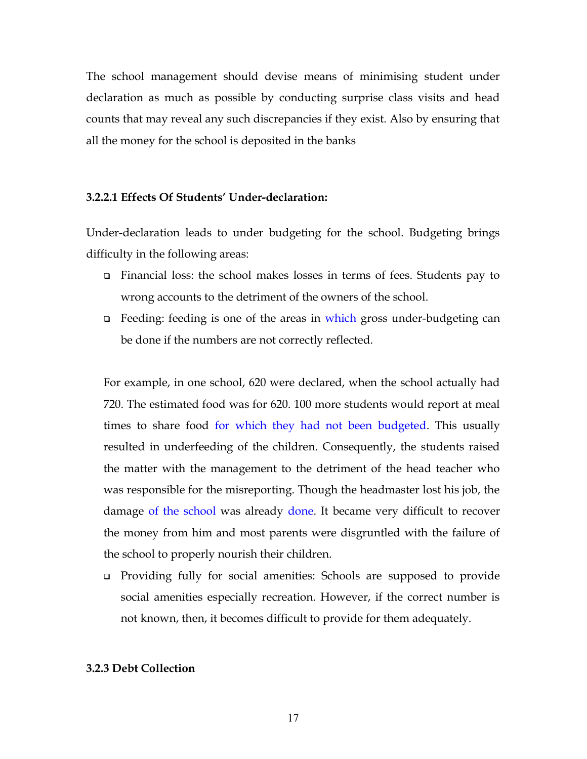The school management should devise means of minimising student under declaration as much as possible by conducting surprise class visits and head counts that may reveal any such discrepancies if they exist. Also by ensuring that all the money for the school is deposited in the banks

## 3.2.2.1 Effects Of Students' Under-declaration:

Under-declaration leads to under budgeting for the school. Budgeting brings difficulty in the following areas:

- Financial loss: the school makes losses in terms of fees. Students pay to wrong accounts to the detriment of the owners of the school.
- □ Feeding: feeding is one of the areas in which gross under-budgeting can be done if the numbers are not correctly reflected.

For example, in one school, 620 were declared, when the school actually had 720. The estimated food was for 620. 100 more students would report at meal times to share food for which they had not been budgeted. This usually resulted in underfeeding of the children. Consequently, the students raised the matter with the management to the detriment of the head teacher who was responsible for the misreporting. Though the headmaster lost his job, the damage of the school was already done. It became very difficult to recover the money from him and most parents were disgruntled with the failure of the school to properly nourish their children.

 Providing fully for social amenities: Schools are supposed to provide social amenities especially recreation. However, if the correct number is not known, then, it becomes difficult to provide for them adequately.

## 3.2.3 Debt Collection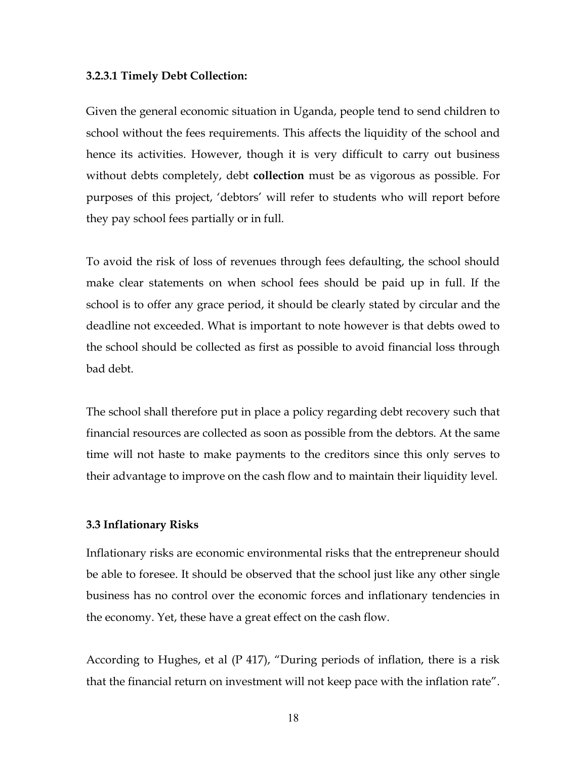#### 3.2.3.1 Timely Debt Collection:

Given the general economic situation in Uganda, people tend to send children to school without the fees requirements. This affects the liquidity of the school and hence its activities. However, though it is very difficult to carry out business without debts completely, debt **collection** must be as vigorous as possible. For purposes of this project, 'debtors' will refer to students who will report before they pay school fees partially or in full.

To avoid the risk of loss of revenues through fees defaulting, the school should make clear statements on when school fees should be paid up in full. If the school is to offer any grace period, it should be clearly stated by circular and the deadline not exceeded. What is important to note however is that debts owed to the school should be collected as first as possible to avoid financial loss through bad debt.

The school shall therefore put in place a policy regarding debt recovery such that financial resources are collected as soon as possible from the debtors. At the same time will not haste to make payments to the creditors since this only serves to their advantage to improve on the cash flow and to maintain their liquidity level.

#### 3.3 Inflationary Risks

Inflationary risks are economic environmental risks that the entrepreneur should be able to foresee. It should be observed that the school just like any other single business has no control over the economic forces and inflationary tendencies in the economy. Yet, these have a great effect on the cash flow.

According to Hughes, et al (P 417), "During periods of inflation, there is a risk that the financial return on investment will not keep pace with the inflation rate".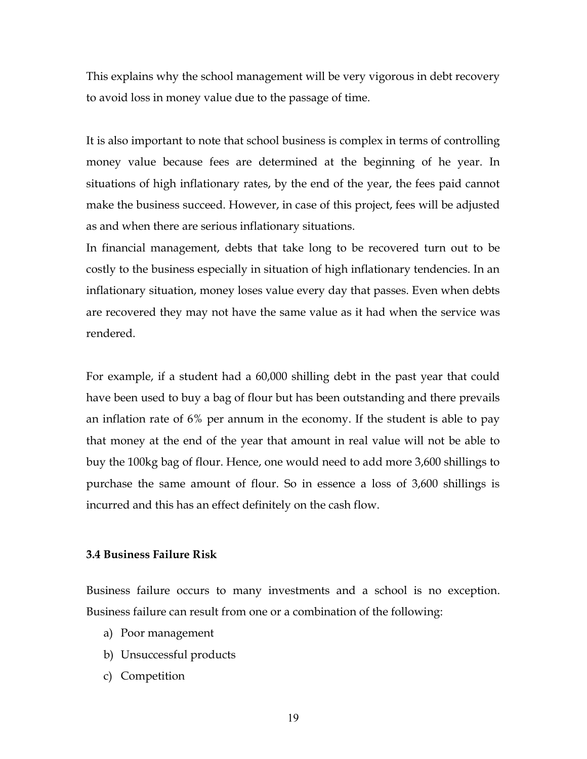This explains why the school management will be very vigorous in debt recovery to avoid loss in money value due to the passage of time.

It is also important to note that school business is complex in terms of controlling money value because fees are determined at the beginning of he year. In situations of high inflationary rates, by the end of the year, the fees paid cannot make the business succeed. However, in case of this project, fees will be adjusted as and when there are serious inflationary situations.

In financial management, debts that take long to be recovered turn out to be costly to the business especially in situation of high inflationary tendencies. In an inflationary situation, money loses value every day that passes. Even when debts are recovered they may not have the same value as it had when the service was rendered.

For example, if a student had a 60,000 shilling debt in the past year that could have been used to buy a bag of flour but has been outstanding and there prevails an inflation rate of 6% per annum in the economy. If the student is able to pay that money at the end of the year that amount in real value will not be able to buy the 100kg bag of flour. Hence, one would need to add more 3,600 shillings to purchase the same amount of flour. So in essence a loss of 3,600 shillings is incurred and this has an effect definitely on the cash flow.

## 3.4 Business Failure Risk

Business failure occurs to many investments and a school is no exception. Business failure can result from one or a combination of the following:

- a) Poor management
- b) Unsuccessful products
- c) Competition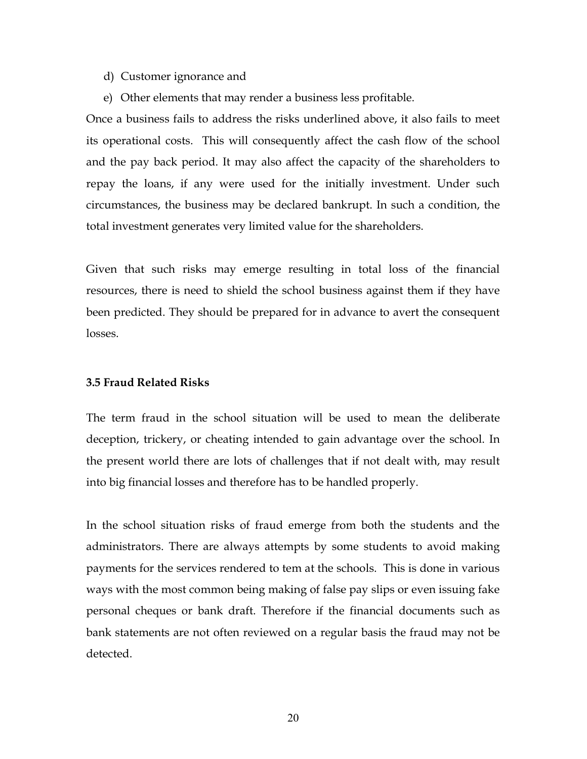#### d) Customer ignorance and

e) Other elements that may render a business less profitable.

Once a business fails to address the risks underlined above, it also fails to meet its operational costs. This will consequently affect the cash flow of the school and the pay back period. It may also affect the capacity of the shareholders to repay the loans, if any were used for the initially investment. Under such circumstances, the business may be declared bankrupt. In such a condition, the total investment generates very limited value for the shareholders.

Given that such risks may emerge resulting in total loss of the financial resources, there is need to shield the school business against them if they have been predicted. They should be prepared for in advance to avert the consequent losses.

## 3.5 Fraud Related Risks

The term fraud in the school situation will be used to mean the deliberate deception, trickery, or cheating intended to gain advantage over the school. In the present world there are lots of challenges that if not dealt with, may result into big financial losses and therefore has to be handled properly.

In the school situation risks of fraud emerge from both the students and the administrators. There are always attempts by some students to avoid making payments for the services rendered to tem at the schools. This is done in various ways with the most common being making of false pay slips or even issuing fake personal cheques or bank draft. Therefore if the financial documents such as bank statements are not often reviewed on a regular basis the fraud may not be detected.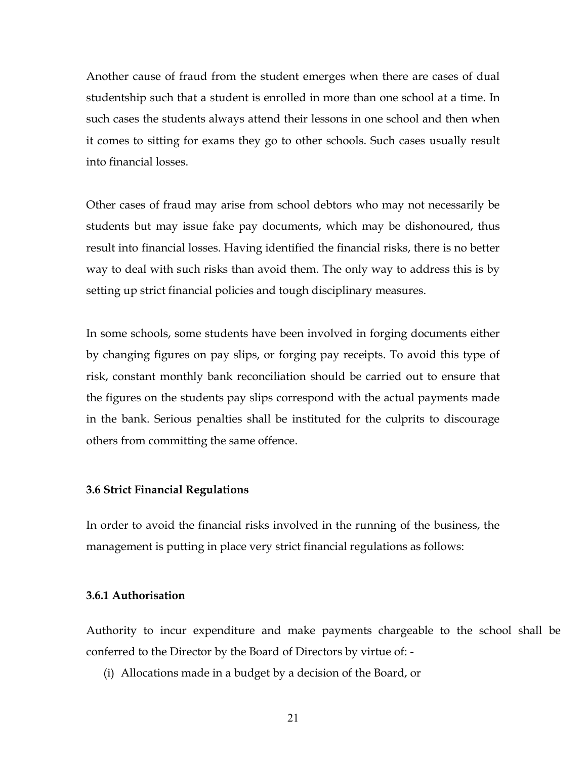Another cause of fraud from the student emerges when there are cases of dual studentship such that a student is enrolled in more than one school at a time. In such cases the students always attend their lessons in one school and then when it comes to sitting for exams they go to other schools. Such cases usually result into financial losses.

Other cases of fraud may arise from school debtors who may not necessarily be students but may issue fake pay documents, which may be dishonoured, thus result into financial losses. Having identified the financial risks, there is no better way to deal with such risks than avoid them. The only way to address this is by setting up strict financial policies and tough disciplinary measures.

In some schools, some students have been involved in forging documents either by changing figures on pay slips, or forging pay receipts. To avoid this type of risk, constant monthly bank reconciliation should be carried out to ensure that the figures on the students pay slips correspond with the actual payments made in the bank. Serious penalties shall be instituted for the culprits to discourage others from committing the same offence.

## 3.6 Strict Financial Regulations

In order to avoid the financial risks involved in the running of the business, the management is putting in place very strict financial regulations as follows:

## 3.6.1 Authorisation

Authority to incur expenditure and make payments chargeable to the school shall be conferred to the Director by the Board of Directors by virtue of: -

(i) Allocations made in a budget by a decision of the Board, or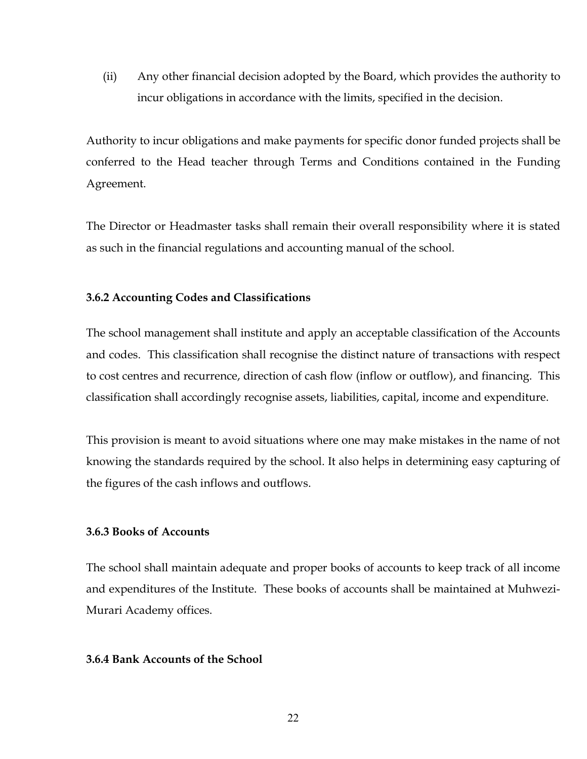(ii) Any other financial decision adopted by the Board, which provides the authority to incur obligations in accordance with the limits, specified in the decision.

Authority to incur obligations and make payments for specific donor funded projects shall be conferred to the Head teacher through Terms and Conditions contained in the Funding Agreement.

The Director or Headmaster tasks shall remain their overall responsibility where it is stated as such in the financial regulations and accounting manual of the school.

## 3.6.2 Accounting Codes and Classifications

The school management shall institute and apply an acceptable classification of the Accounts and codes. This classification shall recognise the distinct nature of transactions with respect to cost centres and recurrence, direction of cash flow (inflow or outflow), and financing. This classification shall accordingly recognise assets, liabilities, capital, income and expenditure.

This provision is meant to avoid situations where one may make mistakes in the name of not knowing the standards required by the school. It also helps in determining easy capturing of the figures of the cash inflows and outflows.

## 3.6.3 Books of Accounts

The school shall maintain adequate and proper books of accounts to keep track of all income and expenditures of the Institute. These books of accounts shall be maintained at Muhwezi-Murari Academy offices.

## 3.6.4 Bank Accounts of the School

22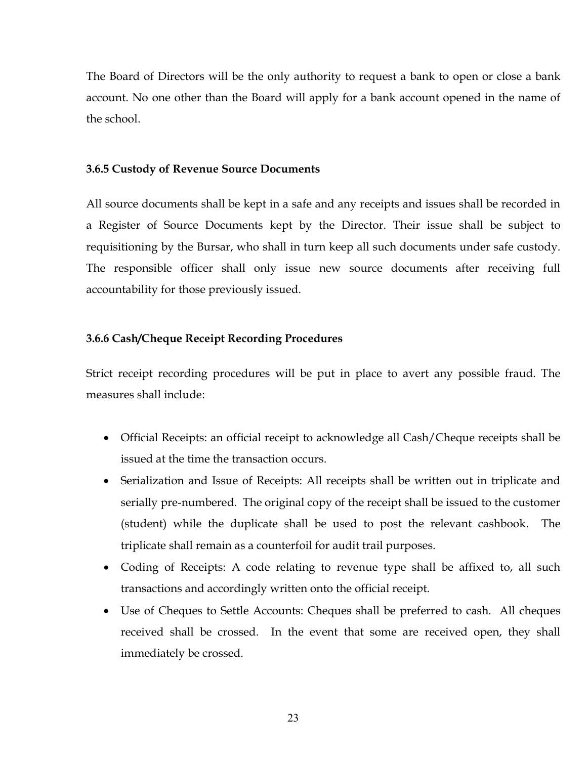The Board of Directors will be the only authority to request a bank to open or close a bank account. No one other than the Board will apply for a bank account opened in the name of the school.

## 3.6.5 Custody of Revenue Source Documents

All source documents shall be kept in a safe and any receipts and issues shall be recorded in a Register of Source Documents kept by the Director. Their issue shall be subject to requisitioning by the Bursar, who shall in turn keep all such documents under safe custody. The responsible officer shall only issue new source documents after receiving full accountability for those previously issued.

## 3.6.6 Cash/Cheque Receipt Recording Procedures

Strict receipt recording procedures will be put in place to avert any possible fraud. The measures shall include:

- Official Receipts: an official receipt to acknowledge all Cash/Cheque receipts shall be issued at the time the transaction occurs.
- Serialization and Issue of Receipts: All receipts shall be written out in triplicate and serially pre-numbered. The original copy of the receipt shall be issued to the customer (student) while the duplicate shall be used to post the relevant cashbook. The triplicate shall remain as a counterfoil for audit trail purposes.
- Coding of Receipts: A code relating to revenue type shall be affixed to, all such transactions and accordingly written onto the official receipt.
- Use of Cheques to Settle Accounts: Cheques shall be preferred to cash. All cheques received shall be crossed. In the event that some are received open, they shall immediately be crossed.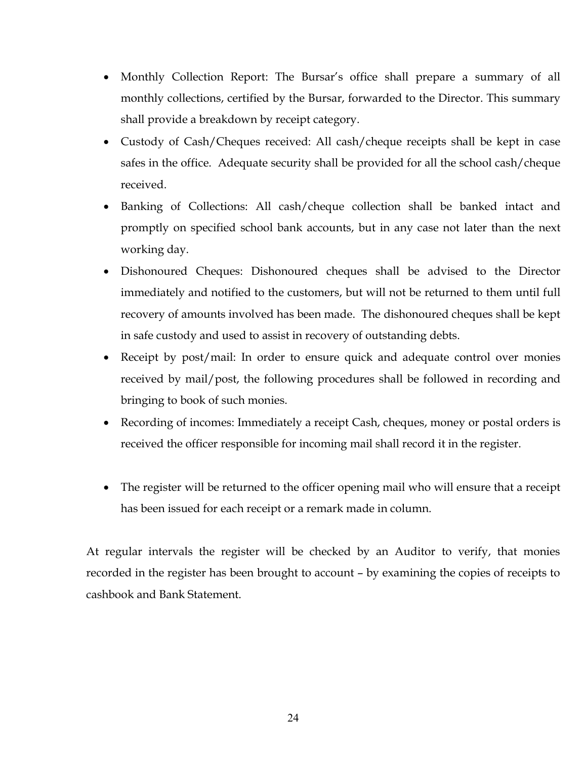- Monthly Collection Report: The Bursar's office shall prepare a summary of all monthly collections, certified by the Bursar, forwarded to the Director. This summary shall provide a breakdown by receipt category.
- Custody of Cash/Cheques received: All cash/cheque receipts shall be kept in case safes in the office. Adequate security shall be provided for all the school cash/cheque received.
- Banking of Collections: All cash/cheque collection shall be banked intact and promptly on specified school bank accounts, but in any case not later than the next working day.
- Dishonoured Cheques: Dishonoured cheques shall be advised to the Director immediately and notified to the customers, but will not be returned to them until full recovery of amounts involved has been made. The dishonoured cheques shall be kept in safe custody and used to assist in recovery of outstanding debts.
- Receipt by post/mail: In order to ensure quick and adequate control over monies received by mail/post, the following procedures shall be followed in recording and bringing to book of such monies.
- Recording of incomes: Immediately a receipt Cash, cheques, money or postal orders is received the officer responsible for incoming mail shall record it in the register.
- The register will be returned to the officer opening mail who will ensure that a receipt has been issued for each receipt or a remark made in column.

At regular intervals the register will be checked by an Auditor to verify, that monies recorded in the register has been brought to account – by examining the copies of receipts to cashbook and Bank Statement.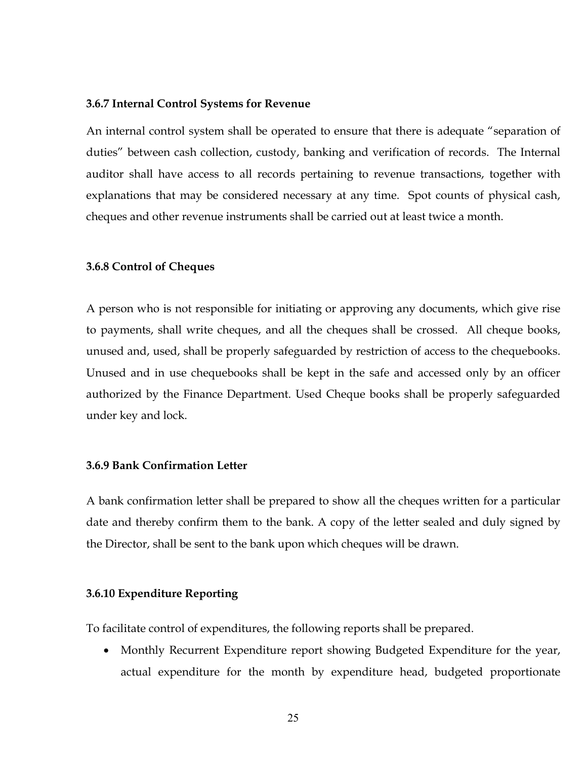#### 3.6.7 Internal Control Systems for Revenue

An internal control system shall be operated to ensure that there is adequate "separation of duties" between cash collection, custody, banking and verification of records. The Internal auditor shall have access to all records pertaining to revenue transactions, together with explanations that may be considered necessary at any time. Spot counts of physical cash, cheques and other revenue instruments shall be carried out at least twice a month.

#### 3.6.8 Control of Cheques

A person who is not responsible for initiating or approving any documents, which give rise to payments, shall write cheques, and all the cheques shall be crossed. All cheque books, unused and, used, shall be properly safeguarded by restriction of access to the chequebooks. Unused and in use chequebooks shall be kept in the safe and accessed only by an officer authorized by the Finance Department. Used Cheque books shall be properly safeguarded under key and lock.

## 3.6.9 Bank Confirmation Letter

A bank confirmation letter shall be prepared to show all the cheques written for a particular date and thereby confirm them to the bank. A copy of the letter sealed and duly signed by the Director, shall be sent to the bank upon which cheques will be drawn.

## 3.6.10 Expenditure Reporting

To facilitate control of expenditures, the following reports shall be prepared.

• Monthly Recurrent Expenditure report showing Budgeted Expenditure for the year, actual expenditure for the month by expenditure head, budgeted proportionate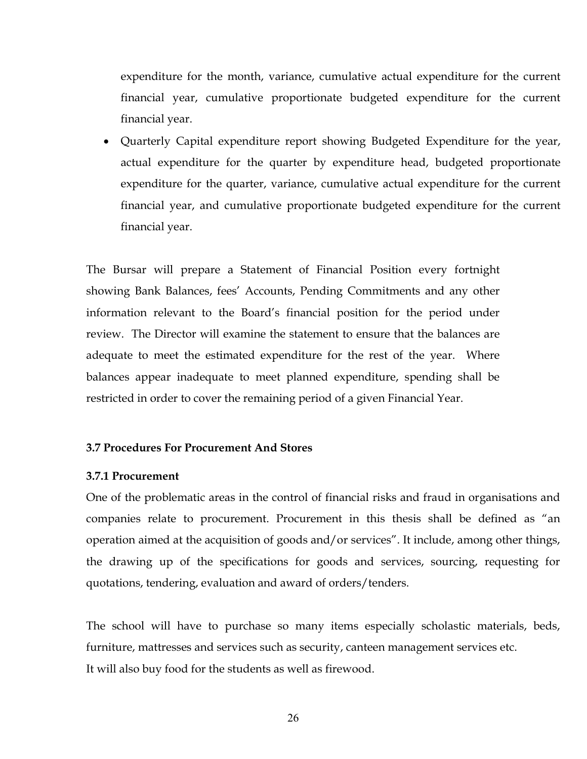expenditure for the month, variance, cumulative actual expenditure for the current financial year, cumulative proportionate budgeted expenditure for the current financial year.

 Quarterly Capital expenditure report showing Budgeted Expenditure for the year, actual expenditure for the quarter by expenditure head, budgeted proportionate expenditure for the quarter, variance, cumulative actual expenditure for the current financial year, and cumulative proportionate budgeted expenditure for the current financial year.

The Bursar will prepare a Statement of Financial Position every fortnight showing Bank Balances, fees' Accounts, Pending Commitments and any other information relevant to the Board's financial position for the period under review. The Director will examine the statement to ensure that the balances are adequate to meet the estimated expenditure for the rest of the year. Where balances appear inadequate to meet planned expenditure, spending shall be restricted in order to cover the remaining period of a given Financial Year.

## 3.7 Procedures For Procurement And Stores

## 3.7.1 Procurement

One of the problematic areas in the control of financial risks and fraud in organisations and companies relate to procurement. Procurement in this thesis shall be defined as "an operation aimed at the acquisition of goods and/or services". It include, among other things, the drawing up of the specifications for goods and services, sourcing, requesting for quotations, tendering, evaluation and award of orders/tenders.

The school will have to purchase so many items especially scholastic materials, beds, furniture, mattresses and services such as security, canteen management services etc. It will also buy food for the students as well as firewood.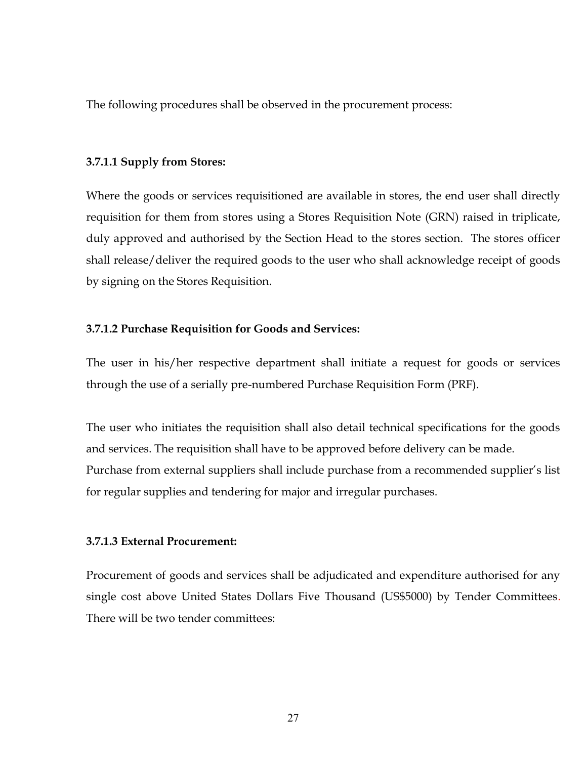The following procedures shall be observed in the procurement process:

## 3.7.1.1 Supply from Stores:

Where the goods or services requisitioned are available in stores, the end user shall directly requisition for them from stores using a Stores Requisition Note (GRN) raised in triplicate, duly approved and authorised by the Section Head to the stores section. The stores officer shall release/deliver the required goods to the user who shall acknowledge receipt of goods by signing on the Stores Requisition.

## 3.7.1.2 Purchase Requisition for Goods and Services:

The user in his/her respective department shall initiate a request for goods or services through the use of a serially pre-numbered Purchase Requisition Form (PRF).

The user who initiates the requisition shall also detail technical specifications for the goods and services. The requisition shall have to be approved before delivery can be made. Purchase from external suppliers shall include purchase from a recommended supplier's list for regular supplies and tendering for major and irregular purchases.

## 3.7.1.3 External Procurement:

Procurement of goods and services shall be adjudicated and expenditure authorised for any single cost above United States Dollars Five Thousand (US\$5000) by Tender Committees. There will be two tender committees: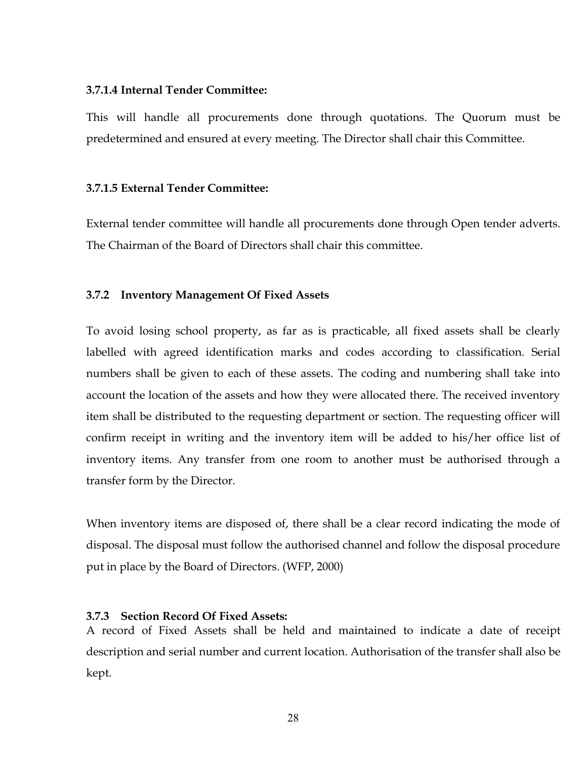## 3.7.1.4 Internal Tender Committee:

This will handle all procurements done through quotations. The Quorum must be predetermined and ensured at every meeting. The Director shall chair this Committee.

## 3.7.1.5 External Tender Committee:

External tender committee will handle all procurements done through Open tender adverts. The Chairman of the Board of Directors shall chair this committee.

## 3.7.2 Inventory Management Of Fixed Assets

To avoid losing school property, as far as is practicable, all fixed assets shall be clearly labelled with agreed identification marks and codes according to classification. Serial numbers shall be given to each of these assets. The coding and numbering shall take into account the location of the assets and how they were allocated there. The received inventory item shall be distributed to the requesting department or section. The requesting officer will confirm receipt in writing and the inventory item will be added to his/her office list of inventory items. Any transfer from one room to another must be authorised through a transfer form by the Director.

When inventory items are disposed of, there shall be a clear record indicating the mode of disposal. The disposal must follow the authorised channel and follow the disposal procedure put in place by the Board of Directors. (WFP, 2000)

## 3.7.3 Section Record Of Fixed Assets:

A record of Fixed Assets shall be held and maintained to indicate a date of receipt description and serial number and current location. Authorisation of the transfer shall also be kept.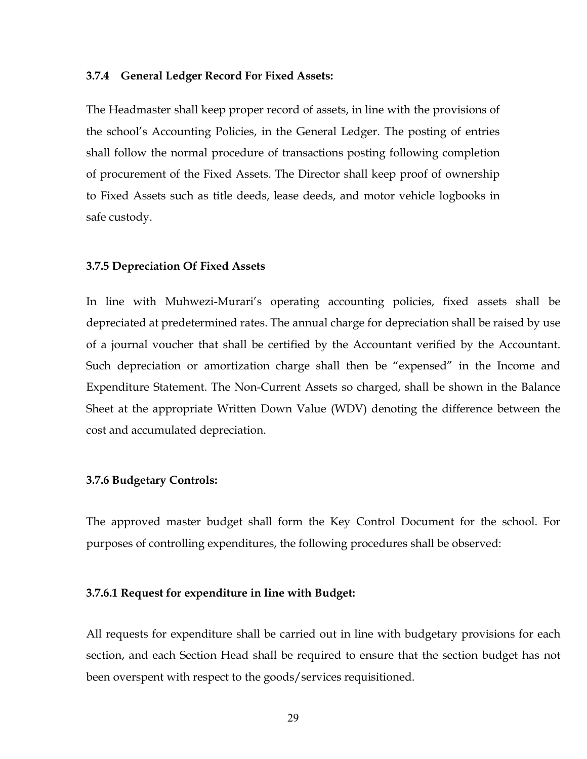#### 3.7.4 General Ledger Record For Fixed Assets:

The Headmaster shall keep proper record of assets, in line with the provisions of the school's Accounting Policies, in the General Ledger. The posting of entries shall follow the normal procedure of transactions posting following completion of procurement of the Fixed Assets. The Director shall keep proof of ownership to Fixed Assets such as title deeds, lease deeds, and motor vehicle logbooks in safe custody.

#### 3.7.5 Depreciation Of Fixed Assets

In line with Muhwezi-Murari's operating accounting policies, fixed assets shall be depreciated at predetermined rates. The annual charge for depreciation shall be raised by use of a journal voucher that shall be certified by the Accountant verified by the Accountant. Such depreciation or amortization charge shall then be "expensed" in the Income and Expenditure Statement. The Non-Current Assets so charged, shall be shown in the Balance Sheet at the appropriate Written Down Value (WDV) denoting the difference between the cost and accumulated depreciation.

#### 3.7.6 Budgetary Controls:

The approved master budget shall form the Key Control Document for the school. For purposes of controlling expenditures, the following procedures shall be observed:

## 3.7.6.1 Request for expenditure in line with Budget:

All requests for expenditure shall be carried out in line with budgetary provisions for each section, and each Section Head shall be required to ensure that the section budget has not been overspent with respect to the goods/services requisitioned.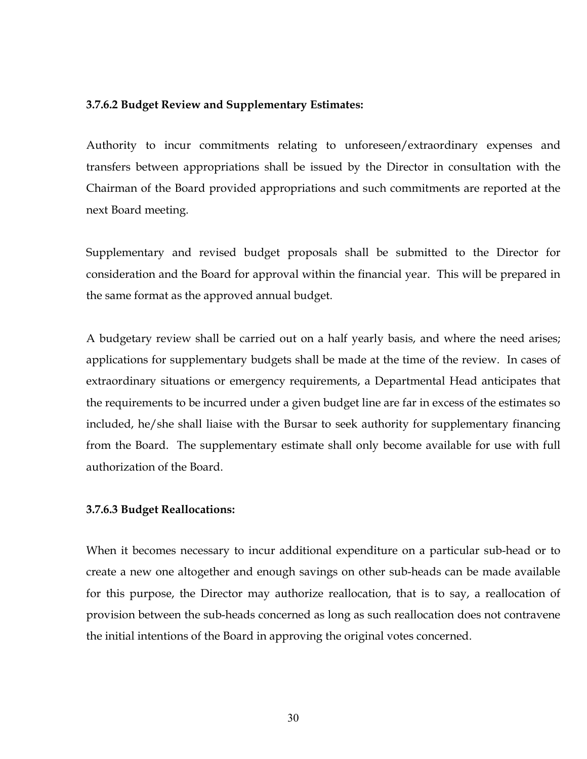## 3.7.6.2 Budget Review and Supplementary Estimates:

Authority to incur commitments relating to unforeseen/extraordinary expenses and transfers between appropriations shall be issued by the Director in consultation with the Chairman of the Board provided appropriations and such commitments are reported at the next Board meeting.

Supplementary and revised budget proposals shall be submitted to the Director for consideration and the Board for approval within the financial year. This will be prepared in the same format as the approved annual budget.

A budgetary review shall be carried out on a half yearly basis, and where the need arises; applications for supplementary budgets shall be made at the time of the review. In cases of extraordinary situations or emergency requirements, a Departmental Head anticipates that the requirements to be incurred under a given budget line are far in excess of the estimates so included, he/she shall liaise with the Bursar to seek authority for supplementary financing from the Board. The supplementary estimate shall only become available for use with full authorization of the Board.

## 3.7.6.3 Budget Reallocations:

When it becomes necessary to incur additional expenditure on a particular sub-head or to create a new one altogether and enough savings on other sub-heads can be made available for this purpose, the Director may authorize reallocation, that is to say, a reallocation of provision between the sub-heads concerned as long as such reallocation does not contravene the initial intentions of the Board in approving the original votes concerned.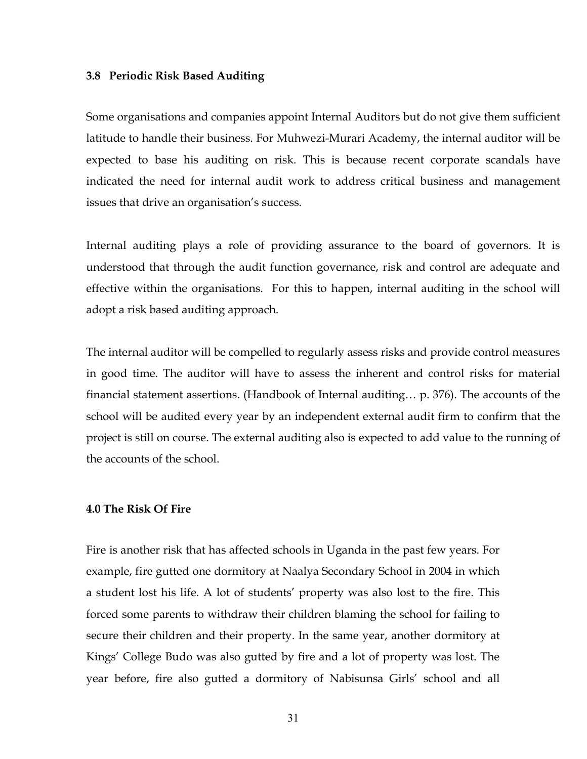#### 3.8 Periodic Risk Based Auditing

Some organisations and companies appoint Internal Auditors but do not give them sufficient latitude to handle their business. For Muhwezi-Murari Academy, the internal auditor will be expected to base his auditing on risk. This is because recent corporate scandals have indicated the need for internal audit work to address critical business and management issues that drive an organisation's success.

Internal auditing plays a role of providing assurance to the board of governors. It is understood that through the audit function governance, risk and control are adequate and effective within the organisations. For this to happen, internal auditing in the school will adopt a risk based auditing approach.

The internal auditor will be compelled to regularly assess risks and provide control measures in good time. The auditor will have to assess the inherent and control risks for material financial statement assertions. (Handbook of Internal auditing… p. 376). The accounts of the school will be audited every year by an independent external audit firm to confirm that the project is still on course. The external auditing also is expected to add value to the running of the accounts of the school.

## 4.0 The Risk Of Fire

Fire is another risk that has affected schools in Uganda in the past few years. For example, fire gutted one dormitory at Naalya Secondary School in 2004 in which a student lost his life. A lot of students' property was also lost to the fire. This forced some parents to withdraw their children blaming the school for failing to secure their children and their property. In the same year, another dormitory at Kings' College Budo was also gutted by fire and a lot of property was lost. The year before, fire also gutted a dormitory of Nabisunsa Girls' school and all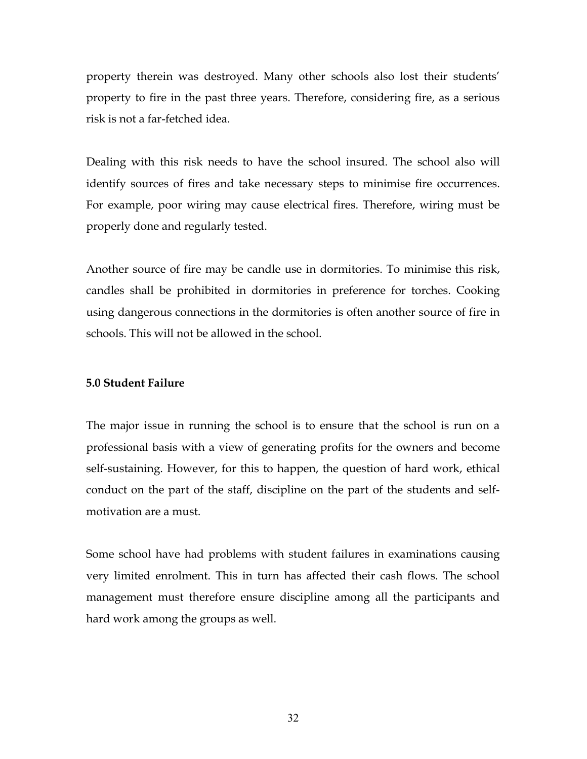property therein was destroyed. Many other schools also lost their students' property to fire in the past three years. Therefore, considering fire, as a serious risk is not a far-fetched idea.

Dealing with this risk needs to have the school insured. The school also will identify sources of fires and take necessary steps to minimise fire occurrences. For example, poor wiring may cause electrical fires. Therefore, wiring must be properly done and regularly tested.

Another source of fire may be candle use in dormitories. To minimise this risk, candles shall be prohibited in dormitories in preference for torches. Cooking using dangerous connections in the dormitories is often another source of fire in schools. This will not be allowed in the school.

## 5.0 Student Failure

The major issue in running the school is to ensure that the school is run on a professional basis with a view of generating profits for the owners and become self-sustaining. However, for this to happen, the question of hard work, ethical conduct on the part of the staff, discipline on the part of the students and selfmotivation are a must.

Some school have had problems with student failures in examinations causing very limited enrolment. This in turn has affected their cash flows. The school management must therefore ensure discipline among all the participants and hard work among the groups as well.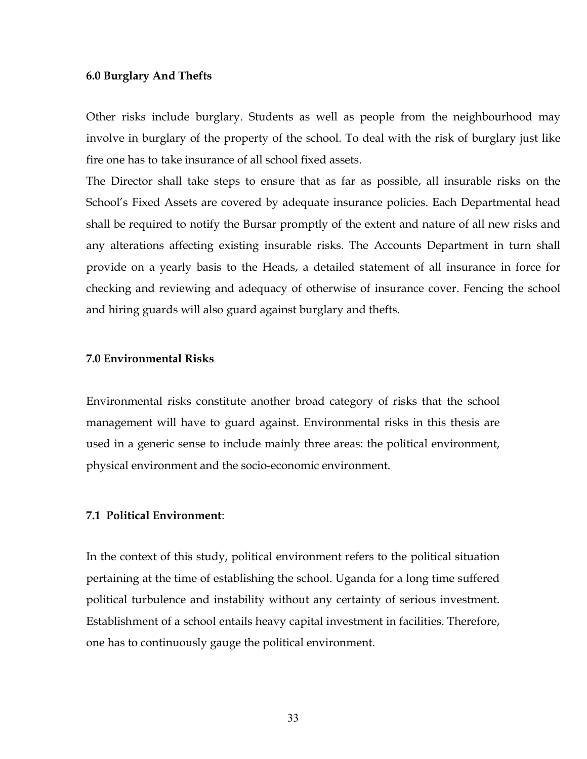#### 6.0 Burglary And Thefts

Other risks include burglary. Students as well as people from the neighbourhood may involve in burglary of the property of the school. To deal with the risk of burglary just like fire one has to take insurance of all school fixed assets.

The Director shall take steps to ensure that as far as possible, all insurable risks on the School's Fixed Assets are covered by adequate insurance policies. Each Departmental head shall be required to notify the Bursar promptly of the extent and nature of all new risks and any alterations affecting existing insurable risks. The Accounts Department in turn shall provide on a yearly basis to the Heads, a detailed statement of all insurance in force for checking and reviewing and adequacy of otherwise of insurance cover. Fencing the school and hiring guards will also guard against burglary and thefts.

## 7.0 Environmental Risks

Environmental risks constitute another broad category of risks that the school management will have to guard against. Environmental risks in this thesis are used in a generic sense to include mainly three areas: the political environment, physical environment and the socio-economic environment.

## 7.1 Political Environment:

In the context of this study, political environment refers to the political situation pertaining at the time of establishing the school. Uganda for a long time suffered political turbulence and instability without any certainty of serious investment. Establishment of a school entails heavy capital investment in facilities. Therefore, one has to continuously gauge the political environment.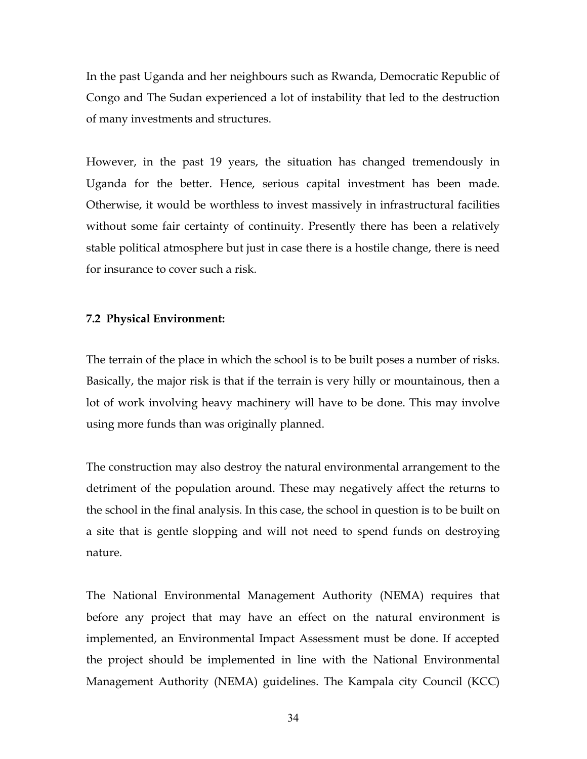In the past Uganda and her neighbours such as Rwanda, Democratic Republic of Congo and The Sudan experienced a lot of instability that led to the destruction of many investments and structures.

However, in the past 19 years, the situation has changed tremendously in Uganda for the better. Hence, serious capital investment has been made. Otherwise, it would be worthless to invest massively in infrastructural facilities without some fair certainty of continuity. Presently there has been a relatively stable political atmosphere but just in case there is a hostile change, there is need for insurance to cover such a risk.

## 7.2 Physical Environment:

The terrain of the place in which the school is to be built poses a number of risks. Basically, the major risk is that if the terrain is very hilly or mountainous, then a lot of work involving heavy machinery will have to be done. This may involve using more funds than was originally planned.

The construction may also destroy the natural environmental arrangement to the detriment of the population around. These may negatively affect the returns to the school in the final analysis. In this case, the school in question is to be built on a site that is gentle slopping and will not need to spend funds on destroying nature.

The National Environmental Management Authority (NEMA) requires that before any project that may have an effect on the natural environment is implemented, an Environmental Impact Assessment must be done. If accepted the project should be implemented in line with the National Environmental Management Authority (NEMA) guidelines. The Kampala city Council (KCC)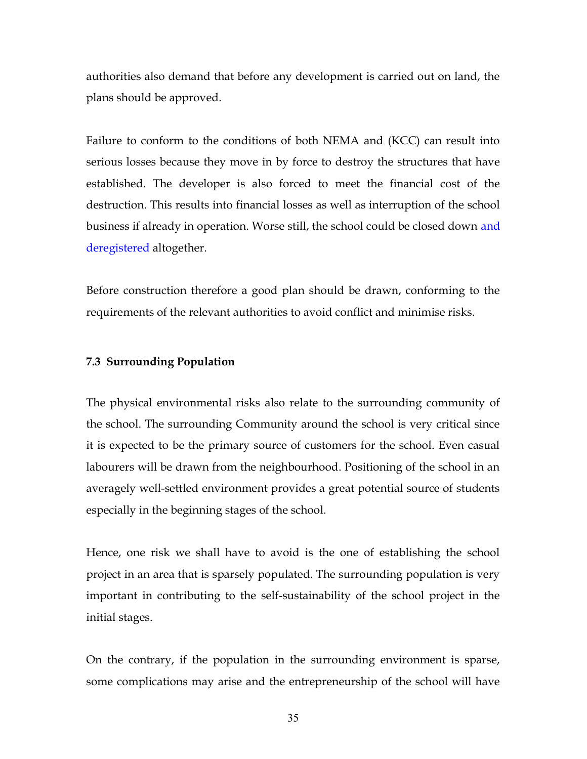authorities also demand that before any development is carried out on land, the plans should be approved.

Failure to conform to the conditions of both NEMA and (KCC) can result into serious losses because they move in by force to destroy the structures that have established. The developer is also forced to meet the financial cost of the destruction. This results into financial losses as well as interruption of the school business if already in operation. Worse still, the school could be closed down and deregistered altogether.

Before construction therefore a good plan should be drawn, conforming to the requirements of the relevant authorities to avoid conflict and minimise risks.

#### 7.3 Surrounding Population

The physical environmental risks also relate to the surrounding community of the school. The surrounding Community around the school is very critical since it is expected to be the primary source of customers for the school. Even casual labourers will be drawn from the neighbourhood. Positioning of the school in an averagely well-settled environment provides a great potential source of students especially in the beginning stages of the school.

Hence, one risk we shall have to avoid is the one of establishing the school project in an area that is sparsely populated. The surrounding population is very important in contributing to the self-sustainability of the school project in the initial stages.

On the contrary, if the population in the surrounding environment is sparse, some complications may arise and the entrepreneurship of the school will have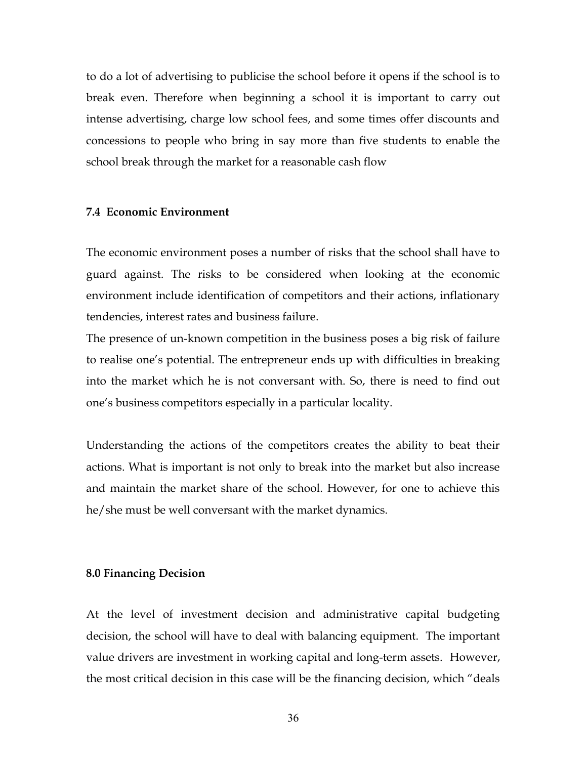to do a lot of advertising to publicise the school before it opens if the school is to break even. Therefore when beginning a school it is important to carry out intense advertising, charge low school fees, and some times offer discounts and concessions to people who bring in say more than five students to enable the school break through the market for a reasonable cash flow

## 7.4 Economic Environment

The economic environment poses a number of risks that the school shall have to guard against. The risks to be considered when looking at the economic environment include identification of competitors and their actions, inflationary tendencies, interest rates and business failure.

The presence of un-known competition in the business poses a big risk of failure to realise one's potential. The entrepreneur ends up with difficulties in breaking into the market which he is not conversant with. So, there is need to find out one's business competitors especially in a particular locality.

Understanding the actions of the competitors creates the ability to beat their actions. What is important is not only to break into the market but also increase and maintain the market share of the school. However, for one to achieve this he/she must be well conversant with the market dynamics.

## 8.0 Financing Decision

At the level of investment decision and administrative capital budgeting decision, the school will have to deal with balancing equipment. The important value drivers are investment in working capital and long-term assets. However, the most critical decision in this case will be the financing decision, which "deals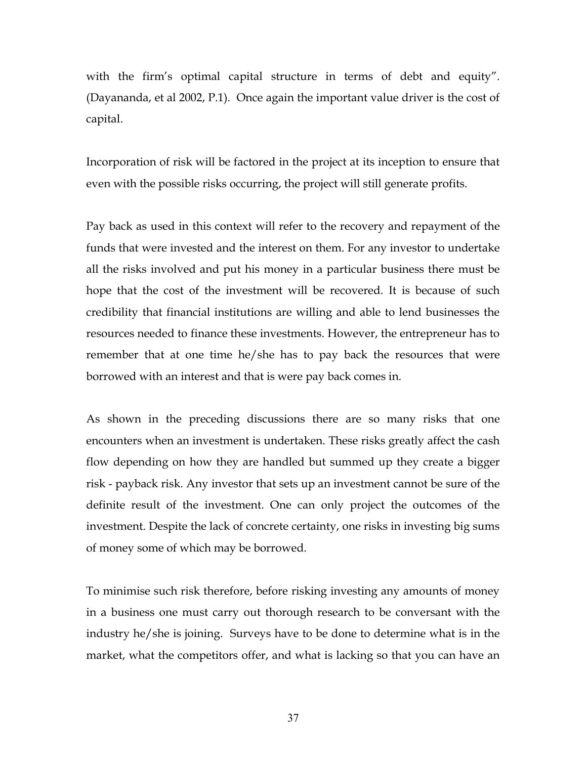with the firm's optimal capital structure in terms of debt and equity". (Dayananda, et al 2002, P.1). Once again the important value driver is the cost of capital.

Incorporation of risk will be factored in the project at its inception to ensure that even with the possible risks occurring, the project will still generate profits.

Pay back as used in this context will refer to the recovery and repayment of the funds that were invested and the interest on them. For any investor to undertake all the risks involved and put his money in a particular business there must be hope that the cost of the investment will be recovered. It is because of such credibility that financial institutions are willing and able to lend businesses the resources needed to finance these investments. However, the entrepreneur has to remember that at one time he/she has to pay back the resources that were borrowed with an interest and that is were pay back comes in.

As shown in the preceding discussions there are so many risks that one encounters when an investment is undertaken. These risks greatly affect the cash flow depending on how they are handled but summed up they create a bigger risk - payback risk. Any investor that sets up an investment cannot be sure of the definite result of the investment. One can only project the outcomes of the investment. Despite the lack of concrete certainty, one risks in investing big sums of money some of which may be borrowed.

To minimise such risk therefore, before risking investing any amounts of money in a business one must carry out thorough research to be conversant with the industry he/she is joining. Surveys have to be done to determine what is in the market, what the competitors offer, and what is lacking so that you can have an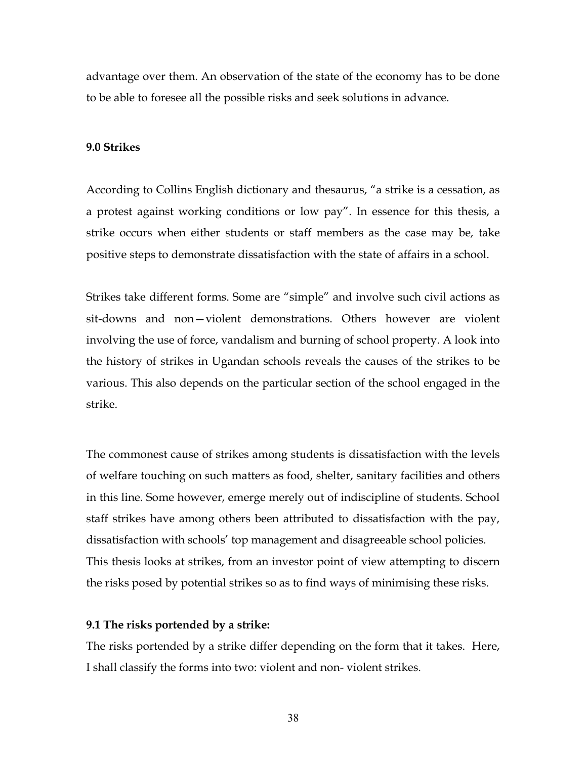advantage over them. An observation of the state of the economy has to be done to be able to foresee all the possible risks and seek solutions in advance.

## 9.0 Strikes

According to Collins English dictionary and thesaurus, "a strike is a cessation, as a protest against working conditions or low pay". In essence for this thesis, a strike occurs when either students or staff members as the case may be, take positive steps to demonstrate dissatisfaction with the state of affairs in a school.

Strikes take different forms. Some are "simple" and involve such civil actions as sit-downs and non—violent demonstrations. Others however are violent involving the use of force, vandalism and burning of school property. A look into the history of strikes in Ugandan schools reveals the causes of the strikes to be various. This also depends on the particular section of the school engaged in the strike.

The commonest cause of strikes among students is dissatisfaction with the levels of welfare touching on such matters as food, shelter, sanitary facilities and others in this line. Some however, emerge merely out of indiscipline of students. School staff strikes have among others been attributed to dissatisfaction with the pay, dissatisfaction with schools' top management and disagreeable school policies. This thesis looks at strikes, from an investor point of view attempting to discern the risks posed by potential strikes so as to find ways of minimising these risks.

## 9.1 The risks portended by a strike:

The risks portended by a strike differ depending on the form that it takes. Here, I shall classify the forms into two: violent and non- violent strikes.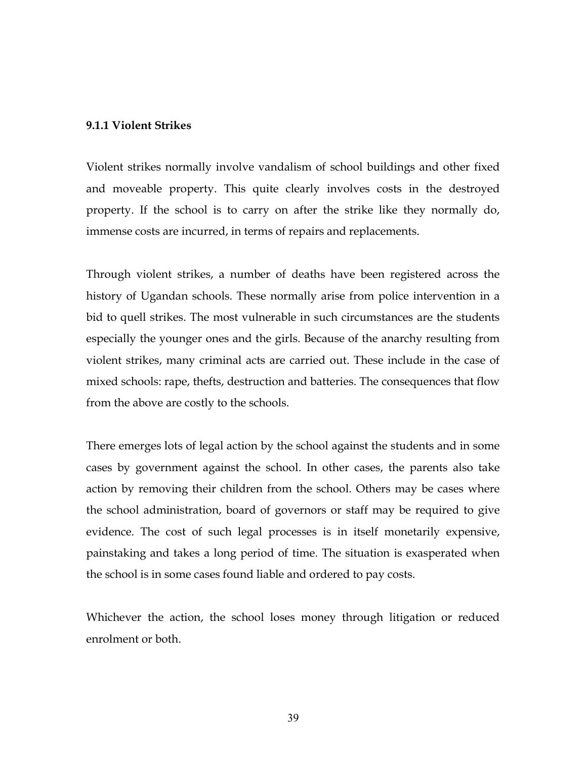### 9.1.1 Violent Strikes

Violent strikes normally involve vandalism of school buildings and other fixed and moveable property. This quite clearly involves costs in the destroyed property. If the school is to carry on after the strike like they normally do, immense costs are incurred, in terms of repairs and replacements.

Through violent strikes, a number of deaths have been registered across the history of Ugandan schools. These normally arise from police intervention in a bid to quell strikes. The most vulnerable in such circumstances are the students especially the younger ones and the girls. Because of the anarchy resulting from violent strikes, many criminal acts are carried out. These include in the case of mixed schools: rape, thefts, destruction and batteries. The consequences that flow from the above are costly to the schools.

There emerges lots of legal action by the school against the students and in some cases by government against the school. In other cases, the parents also take action by removing their children from the school. Others may be cases where the school administration, board of governors or staff may be required to give evidence. The cost of such legal processes is in itself monetarily expensive, painstaking and takes a long period of time. The situation is exasperated when the school is in some cases found liable and ordered to pay costs.

Whichever the action, the school loses money through litigation or reduced enrolment or both.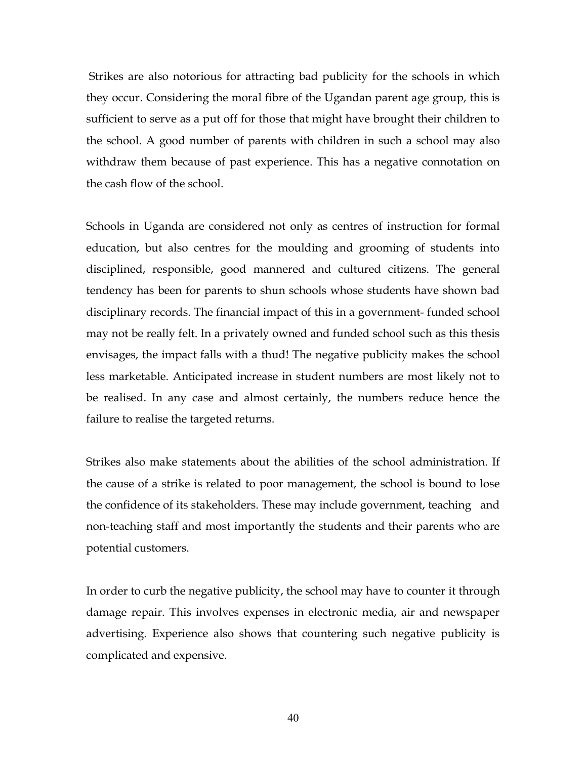Strikes are also notorious for attracting bad publicity for the schools in which they occur. Considering the moral fibre of the Ugandan parent age group, this is sufficient to serve as a put off for those that might have brought their children to the school. A good number of parents with children in such a school may also withdraw them because of past experience. This has a negative connotation on the cash flow of the school.

Schools in Uganda are considered not only as centres of instruction for formal education, but also centres for the moulding and grooming of students into disciplined, responsible, good mannered and cultured citizens. The general tendency has been for parents to shun schools whose students have shown bad disciplinary records. The financial impact of this in a government- funded school may not be really felt. In a privately owned and funded school such as this thesis envisages, the impact falls with a thud! The negative publicity makes the school less marketable. Anticipated increase in student numbers are most likely not to be realised. In any case and almost certainly, the numbers reduce hence the failure to realise the targeted returns.

Strikes also make statements about the abilities of the school administration. If the cause of a strike is related to poor management, the school is bound to lose the confidence of its stakeholders. These may include government, teaching and non-teaching staff and most importantly the students and their parents who are potential customers.

In order to curb the negative publicity, the school may have to counter it through damage repair. This involves expenses in electronic media, air and newspaper advertising. Experience also shows that countering such negative publicity is complicated and expensive.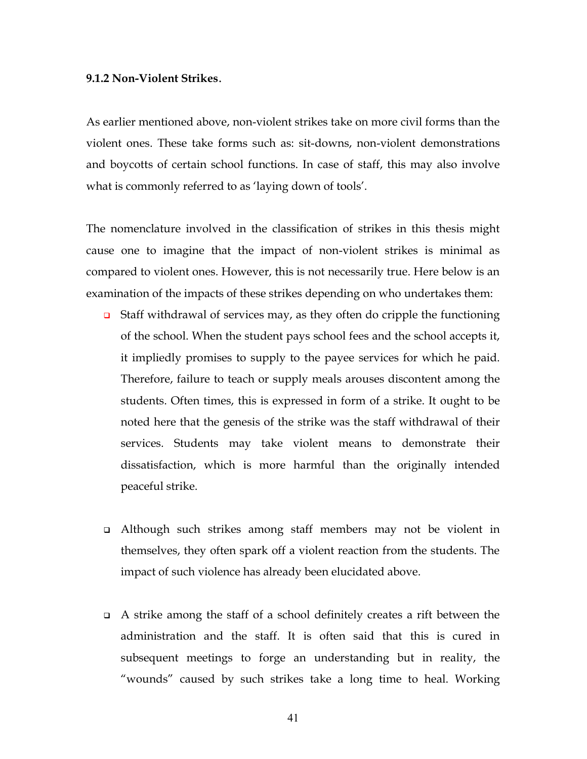#### 9.1.2 Non-Violent Strikes.

As earlier mentioned above, non-violent strikes take on more civil forms than the violent ones. These take forms such as: sit-downs, non-violent demonstrations and boycotts of certain school functions. In case of staff, this may also involve what is commonly referred to as 'laying down of tools'.

The nomenclature involved in the classification of strikes in this thesis might cause one to imagine that the impact of non-violent strikes is minimal as compared to violent ones. However, this is not necessarily true. Here below is an examination of the impacts of these strikes depending on who undertakes them:

- $\Box$  Staff withdrawal of services may, as they often do cripple the functioning of the school. When the student pays school fees and the school accepts it, it impliedly promises to supply to the payee services for which he paid. Therefore, failure to teach or supply meals arouses discontent among the students. Often times, this is expressed in form of a strike. It ought to be noted here that the genesis of the strike was the staff withdrawal of their services. Students may take violent means to demonstrate their dissatisfaction, which is more harmful than the originally intended peaceful strike.
- Although such strikes among staff members may not be violent in themselves, they often spark off a violent reaction from the students. The impact of such violence has already been elucidated above.
- $\Box$  A strike among the staff of a school definitely creates a rift between the administration and the staff. It is often said that this is cured in subsequent meetings to forge an understanding but in reality, the "wounds" caused by such strikes take a long time to heal. Working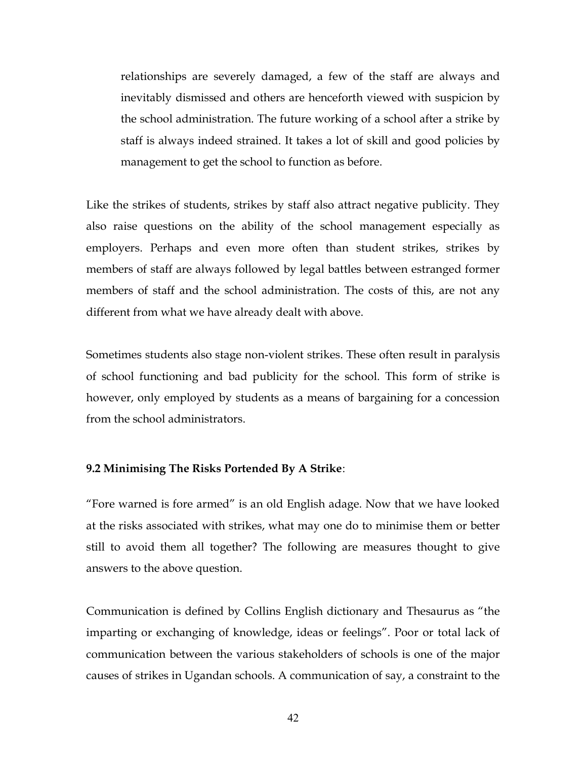relationships are severely damaged, a few of the staff are always and inevitably dismissed and others are henceforth viewed with suspicion by the school administration. The future working of a school after a strike by staff is always indeed strained. It takes a lot of skill and good policies by management to get the school to function as before.

Like the strikes of students, strikes by staff also attract negative publicity. They also raise questions on the ability of the school management especially as employers. Perhaps and even more often than student strikes, strikes by members of staff are always followed by legal battles between estranged former members of staff and the school administration. The costs of this, are not any different from what we have already dealt with above.

Sometimes students also stage non-violent strikes. These often result in paralysis of school functioning and bad publicity for the school. This form of strike is however, only employed by students as a means of bargaining for a concession from the school administrators.

## 9.2 Minimising The Risks Portended By A Strike:

"Fore warned is fore armed" is an old English adage. Now that we have looked at the risks associated with strikes, what may one do to minimise them or better still to avoid them all together? The following are measures thought to give answers to the above question.

Communication is defined by Collins English dictionary and Thesaurus as "the imparting or exchanging of knowledge, ideas or feelings". Poor or total lack of communication between the various stakeholders of schools is one of the major causes of strikes in Ugandan schools. A communication of say, a constraint to the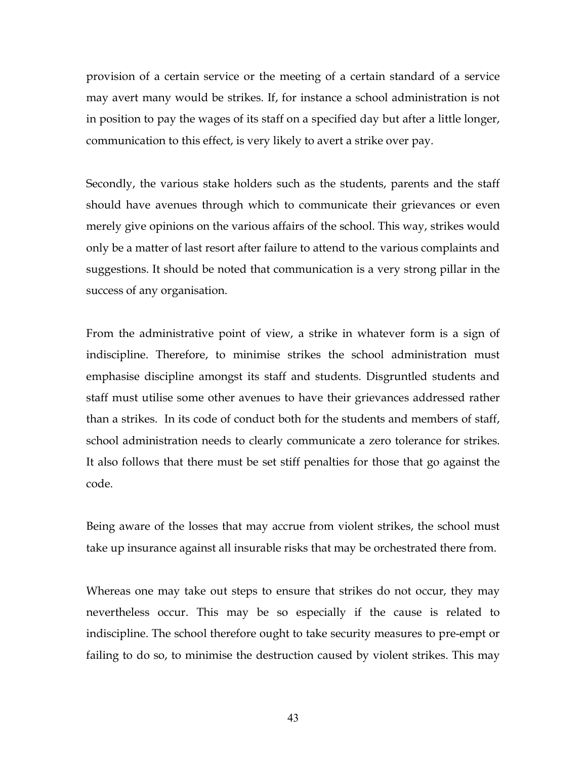provision of a certain service or the meeting of a certain standard of a service may avert many would be strikes. If, for instance a school administration is not in position to pay the wages of its staff on a specified day but after a little longer, communication to this effect, is very likely to avert a strike over pay.

Secondly, the various stake holders such as the students, parents and the staff should have avenues through which to communicate their grievances or even merely give opinions on the various affairs of the school. This way, strikes would only be a matter of last resort after failure to attend to the various complaints and suggestions. It should be noted that communication is a very strong pillar in the success of any organisation.

From the administrative point of view, a strike in whatever form is a sign of indiscipline. Therefore, to minimise strikes the school administration must emphasise discipline amongst its staff and students. Disgruntled students and staff must utilise some other avenues to have their grievances addressed rather than a strikes. In its code of conduct both for the students and members of staff, school administration needs to clearly communicate a zero tolerance for strikes. It also follows that there must be set stiff penalties for those that go against the code.

Being aware of the losses that may accrue from violent strikes, the school must take up insurance against all insurable risks that may be orchestrated there from.

Whereas one may take out steps to ensure that strikes do not occur, they may nevertheless occur. This may be so especially if the cause is related to indiscipline. The school therefore ought to take security measures to pre-empt or failing to do so, to minimise the destruction caused by violent strikes. This may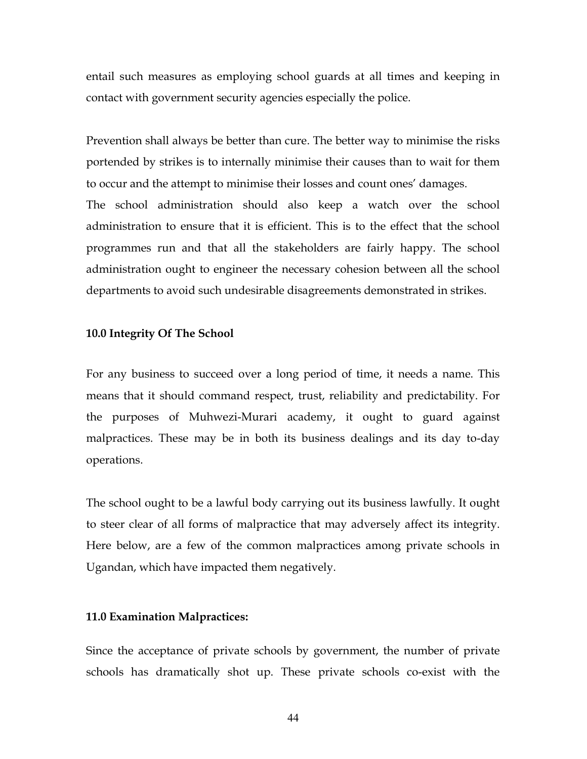entail such measures as employing school guards at all times and keeping in contact with government security agencies especially the police.

Prevention shall always be better than cure. The better way to minimise the risks portended by strikes is to internally minimise their causes than to wait for them to occur and the attempt to minimise their losses and count ones' damages. The school administration should also keep a watch over the school administration to ensure that it is efficient. This is to the effect that the school programmes run and that all the stakeholders are fairly happy. The school administration ought to engineer the necessary cohesion between all the school departments to avoid such undesirable disagreements demonstrated in strikes.

### 10.0 Integrity Of The School

For any business to succeed over a long period of time, it needs a name. This means that it should command respect, trust, reliability and predictability. For the purposes of Muhwezi-Murari academy, it ought to guard against malpractices. These may be in both its business dealings and its day to-day operations.

The school ought to be a lawful body carrying out its business lawfully. It ought to steer clear of all forms of malpractice that may adversely affect its integrity. Here below, are a few of the common malpractices among private schools in Ugandan, which have impacted them negatively.

#### 11.0 Examination Malpractices:

Since the acceptance of private schools by government, the number of private schools has dramatically shot up. These private schools co-exist with the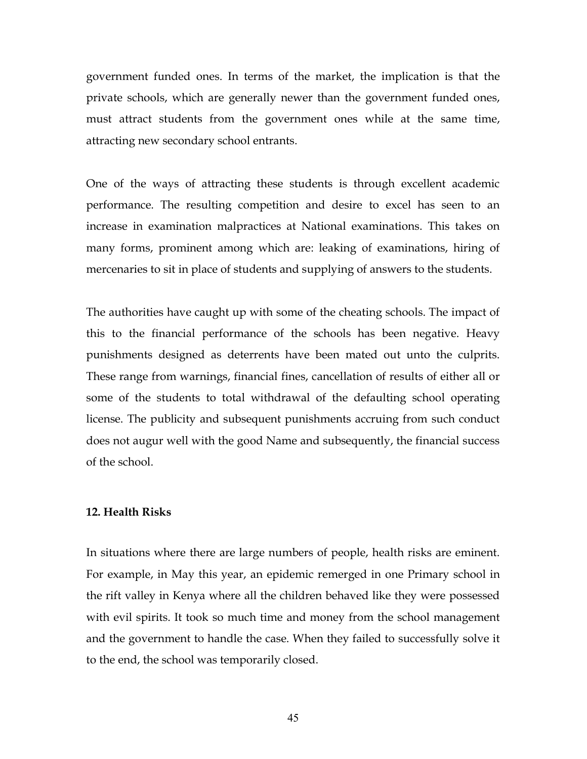government funded ones. In terms of the market, the implication is that the private schools, which are generally newer than the government funded ones, must attract students from the government ones while at the same time, attracting new secondary school entrants.

One of the ways of attracting these students is through excellent academic performance. The resulting competition and desire to excel has seen to an increase in examination malpractices at National examinations. This takes on many forms, prominent among which are: leaking of examinations, hiring of mercenaries to sit in place of students and supplying of answers to the students.

The authorities have caught up with some of the cheating schools. The impact of this to the financial performance of the schools has been negative. Heavy punishments designed as deterrents have been mated out unto the culprits. These range from warnings, financial fines, cancellation of results of either all or some of the students to total withdrawal of the defaulting school operating license. The publicity and subsequent punishments accruing from such conduct does not augur well with the good Name and subsequently, the financial success of the school.

## 12. Health Risks

In situations where there are large numbers of people, health risks are eminent. For example, in May this year, an epidemic remerged in one Primary school in the rift valley in Kenya where all the children behaved like they were possessed with evil spirits. It took so much time and money from the school management and the government to handle the case. When they failed to successfully solve it to the end, the school was temporarily closed.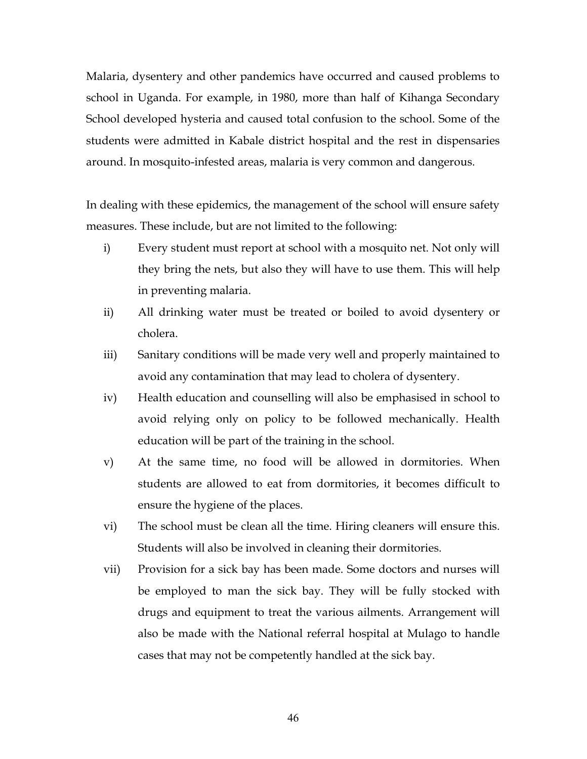Malaria, dysentery and other pandemics have occurred and caused problems to school in Uganda. For example, in 1980, more than half of Kihanga Secondary School developed hysteria and caused total confusion to the school. Some of the students were admitted in Kabale district hospital and the rest in dispensaries around. In mosquito-infested areas, malaria is very common and dangerous.

In dealing with these epidemics, the management of the school will ensure safety measures. These include, but are not limited to the following:

- i) Every student must report at school with a mosquito net. Not only will they bring the nets, but also they will have to use them. This will help in preventing malaria.
- ii) All drinking water must be treated or boiled to avoid dysentery or cholera.
- iii) Sanitary conditions will be made very well and properly maintained to avoid any contamination that may lead to cholera of dysentery.
- iv) Health education and counselling will also be emphasised in school to avoid relying only on policy to be followed mechanically. Health education will be part of the training in the school.
- v) At the same time, no food will be allowed in dormitories. When students are allowed to eat from dormitories, it becomes difficult to ensure the hygiene of the places.
- vi) The school must be clean all the time. Hiring cleaners will ensure this. Students will also be involved in cleaning their dormitories.
- vii) Provision for a sick bay has been made. Some doctors and nurses will be employed to man the sick bay. They will be fully stocked with drugs and equipment to treat the various ailments. Arrangement will also be made with the National referral hospital at Mulago to handle cases that may not be competently handled at the sick bay.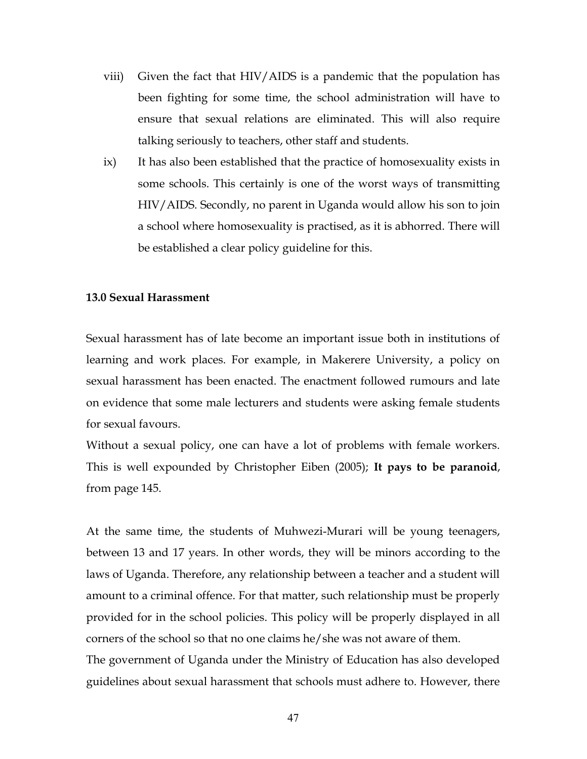- viii) Given the fact that HIV/AIDS is a pandemic that the population has been fighting for some time, the school administration will have to ensure that sexual relations are eliminated. This will also require talking seriously to teachers, other staff and students.
- ix) It has also been established that the practice of homosexuality exists in some schools. This certainly is one of the worst ways of transmitting HIV/AIDS. Secondly, no parent in Uganda would allow his son to join a school where homosexuality is practised, as it is abhorred. There will be established a clear policy guideline for this.

## 13.0 Sexual Harassment

Sexual harassment has of late become an important issue both in institutions of learning and work places. For example, in Makerere University, a policy on sexual harassment has been enacted. The enactment followed rumours and late on evidence that some male lecturers and students were asking female students for sexual favours.

Without a sexual policy, one can have a lot of problems with female workers. This is well expounded by Christopher Eiben (2005); It pays to be paranoid, from page 145.

At the same time, the students of Muhwezi-Murari will be young teenagers, between 13 and 17 years. In other words, they will be minors according to the laws of Uganda. Therefore, any relationship between a teacher and a student will amount to a criminal offence. For that matter, such relationship must be properly provided for in the school policies. This policy will be properly displayed in all corners of the school so that no one claims he/she was not aware of them.

The government of Uganda under the Ministry of Education has also developed guidelines about sexual harassment that schools must adhere to. However, there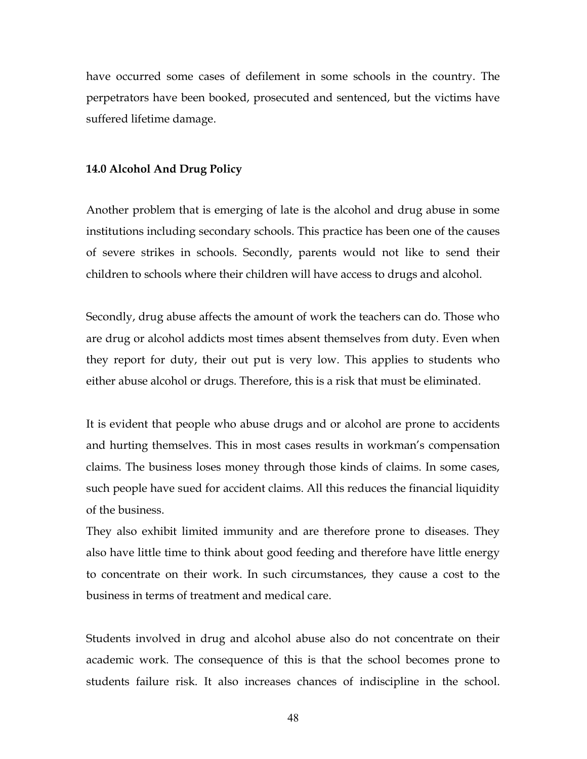have occurred some cases of defilement in some schools in the country. The perpetrators have been booked, prosecuted and sentenced, but the victims have suffered lifetime damage.

## 14.0 Alcohol And Drug Policy

Another problem that is emerging of late is the alcohol and drug abuse in some institutions including secondary schools. This practice has been one of the causes of severe strikes in schools. Secondly, parents would not like to send their children to schools where their children will have access to drugs and alcohol.

Secondly, drug abuse affects the amount of work the teachers can do. Those who are drug or alcohol addicts most times absent themselves from duty. Even when they report for duty, their out put is very low. This applies to students who either abuse alcohol or drugs. Therefore, this is a risk that must be eliminated.

It is evident that people who abuse drugs and or alcohol are prone to accidents and hurting themselves. This in most cases results in workman's compensation claims. The business loses money through those kinds of claims. In some cases, such people have sued for accident claims. All this reduces the financial liquidity of the business.

They also exhibit limited immunity and are therefore prone to diseases. They also have little time to think about good feeding and therefore have little energy to concentrate on their work. In such circumstances, they cause a cost to the business in terms of treatment and medical care.

Students involved in drug and alcohol abuse also do not concentrate on their academic work. The consequence of this is that the school becomes prone to students failure risk. It also increases chances of indiscipline in the school.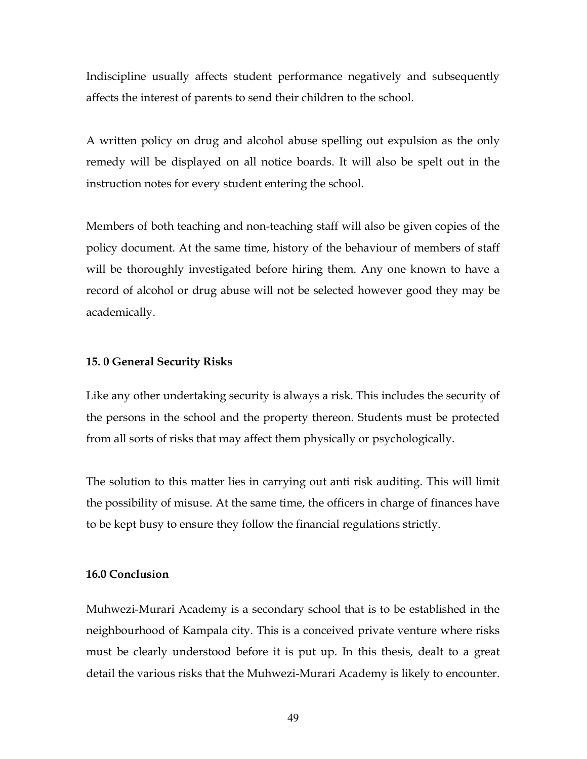Indiscipline usually affects student performance negatively and subsequently affects the interest of parents to send their children to the school.

A written policy on drug and alcohol abuse spelling out expulsion as the only remedy will be displayed on all notice boards. It will also be spelt out in the instruction notes for every student entering the school.

Members of both teaching and non-teaching staff will also be given copies of the policy document. At the same time, history of the behaviour of members of staff will be thoroughly investigated before hiring them. Any one known to have a record of alcohol or drug abuse will not be selected however good they may be academically.

#### 15. 0 General Security Risks

Like any other undertaking security is always a risk. This includes the security of the persons in the school and the property thereon. Students must be protected from all sorts of risks that may affect them physically or psychologically.

The solution to this matter lies in carrying out anti risk auditing. This will limit the possibility of misuse. At the same time, the officers in charge of finances have to be kept busy to ensure they follow the financial regulations strictly.

## 16.0 Conclusion

Muhwezi-Murari Academy is a secondary school that is to be established in the neighbourhood of Kampala city. This is a conceived private venture where risks must be clearly understood before it is put up. In this thesis, dealt to a great detail the various risks that the Muhwezi-Murari Academy is likely to encounter.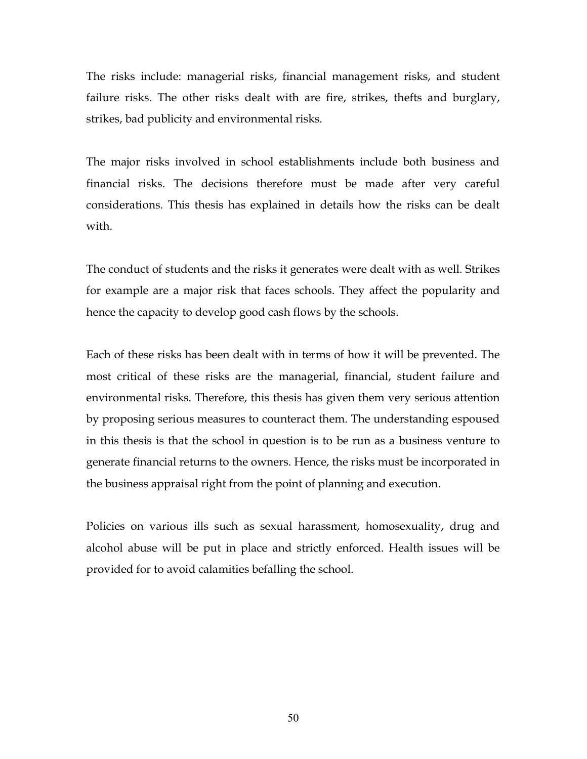The risks include: managerial risks, financial management risks, and student failure risks. The other risks dealt with are fire, strikes, thefts and burglary, strikes, bad publicity and environmental risks.

The major risks involved in school establishments include both business and financial risks. The decisions therefore must be made after very careful considerations. This thesis has explained in details how the risks can be dealt with.

The conduct of students and the risks it generates were dealt with as well. Strikes for example are a major risk that faces schools. They affect the popularity and hence the capacity to develop good cash flows by the schools.

Each of these risks has been dealt with in terms of how it will be prevented. The most critical of these risks are the managerial, financial, student failure and environmental risks. Therefore, this thesis has given them very serious attention by proposing serious measures to counteract them. The understanding espoused in this thesis is that the school in question is to be run as a business venture to generate financial returns to the owners. Hence, the risks must be incorporated in the business appraisal right from the point of planning and execution.

Policies on various ills such as sexual harassment, homosexuality, drug and alcohol abuse will be put in place and strictly enforced. Health issues will be provided for to avoid calamities befalling the school.